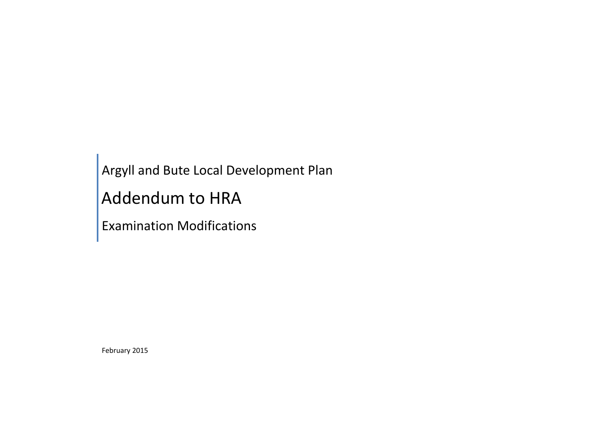Argyll and Bute Local Development Plan

Addendum to HRA

Examination Modifications

February 2015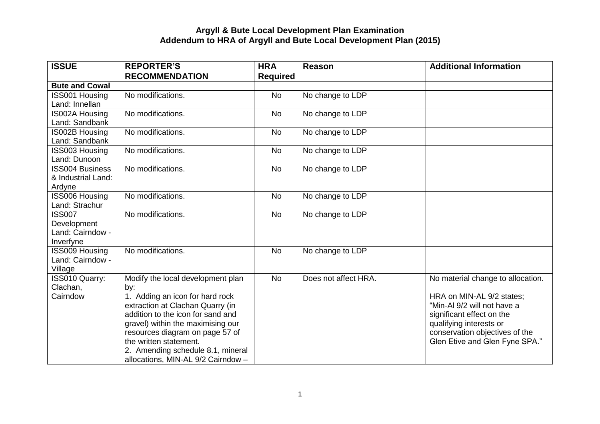| <b>ISSUE</b>                                                  | <b>REPORTER'S</b><br><b>RECOMMENDATION</b>                                                                                                                                                                                                                                                                                        | <b>HRA</b><br><b>Required</b> | <b>Reason</b>        | <b>Additional Information</b>                                                                                                                                                                                             |
|---------------------------------------------------------------|-----------------------------------------------------------------------------------------------------------------------------------------------------------------------------------------------------------------------------------------------------------------------------------------------------------------------------------|-------------------------------|----------------------|---------------------------------------------------------------------------------------------------------------------------------------------------------------------------------------------------------------------------|
| <b>Bute and Cowal</b>                                         |                                                                                                                                                                                                                                                                                                                                   |                               |                      |                                                                                                                                                                                                                           |
| <b>ISS001 Housing</b>                                         | No modifications.                                                                                                                                                                                                                                                                                                                 | <b>No</b>                     | No change to LDP     |                                                                                                                                                                                                                           |
| Land: Innellan                                                |                                                                                                                                                                                                                                                                                                                                   |                               |                      |                                                                                                                                                                                                                           |
| <b>IS002A Housing</b><br>Land: Sandbank                       | No modifications.                                                                                                                                                                                                                                                                                                                 | <b>No</b>                     | No change to LDP     |                                                                                                                                                                                                                           |
| IS002B Housing<br>Land: Sandbank                              | No modifications.                                                                                                                                                                                                                                                                                                                 | <b>No</b>                     | No change to LDP     |                                                                                                                                                                                                                           |
| <b>ISS003 Housing</b><br>Land: Dunoon                         | No modifications.                                                                                                                                                                                                                                                                                                                 | <b>No</b>                     | No change to LDP     |                                                                                                                                                                                                                           |
| <b>ISS004 Business</b><br>& Industrial Land:<br>Ardyne        | No modifications.                                                                                                                                                                                                                                                                                                                 | <b>No</b>                     | No change to LDP     |                                                                                                                                                                                                                           |
| <b>ISS006 Housing</b><br>Land: Strachur                       | No modifications.                                                                                                                                                                                                                                                                                                                 | <b>No</b>                     | No change to LDP     |                                                                                                                                                                                                                           |
| <b>ISS007</b><br>Development<br>Land: Cairndow -<br>Inverfyne | No modifications.                                                                                                                                                                                                                                                                                                                 | <b>No</b>                     | No change to LDP     |                                                                                                                                                                                                                           |
| <b>ISS009 Housing</b><br>Land: Cairndow -<br>Village          | No modifications.                                                                                                                                                                                                                                                                                                                 | <b>No</b>                     | No change to LDP     |                                                                                                                                                                                                                           |
| ISS010 Quarry:<br>Clachan,<br>Cairndow                        | Modify the local development plan<br>by:<br>1. Adding an icon for hard rock<br>extraction at Clachan Quarry (in<br>addition to the icon for sand and<br>gravel) within the maximising our<br>resources diagram on page 57 of<br>the written statement.<br>2. Amending schedule 8.1, mineral<br>allocations, MIN-AL 9/2 Cairndow - | <b>No</b>                     | Does not affect HRA. | No material change to allocation.<br>HRA on MIN-AL 9/2 states;<br>"Min-AI 9/2 will not have a<br>significant effect on the<br>qualifying interests or<br>conservation objectives of the<br>Glen Etive and Glen Fyne SPA." |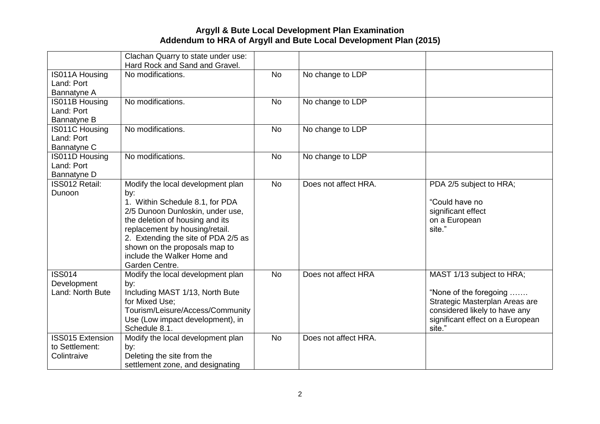|                                                          | Clachan Quarry to state under use:<br>Hard Rock and Sand and Gravel.                                                                                                                                                                                                                                          |           |                      |                                                                                                                                                                      |
|----------------------------------------------------------|---------------------------------------------------------------------------------------------------------------------------------------------------------------------------------------------------------------------------------------------------------------------------------------------------------------|-----------|----------------------|----------------------------------------------------------------------------------------------------------------------------------------------------------------------|
| IS011A Housing<br>Land: Port<br>Bannatyne A              | No modifications.                                                                                                                                                                                                                                                                                             | <b>No</b> | No change to LDP     |                                                                                                                                                                      |
| IS011B Housing<br>Land: Port<br>Bannatyne B              | No modifications.                                                                                                                                                                                                                                                                                             | <b>No</b> | No change to LDP     |                                                                                                                                                                      |
| IS011C Housing<br>Land: Port<br>Bannatyne C              | No modifications.                                                                                                                                                                                                                                                                                             | <b>No</b> | No change to LDP     |                                                                                                                                                                      |
| IS011D Housing<br>Land: Port<br>Bannatyne D              | No modifications.                                                                                                                                                                                                                                                                                             | <b>No</b> | No change to LDP     |                                                                                                                                                                      |
| ISS012 Retail:<br>Dunoon                                 | Modify the local development plan<br>by:<br>1. Within Schedule 8.1, for PDA<br>2/5 Dunoon Dunloskin, under use,<br>the deletion of housing and its<br>replacement by housing/retail.<br>2. Extending the site of PDA 2/5 as<br>shown on the proposals map to<br>include the Walker Home and<br>Garden Centre. | <b>No</b> | Does not affect HRA. | PDA 2/5 subject to HRA;<br>"Could have no<br>significant effect<br>on a European<br>site."                                                                           |
| <b>ISS014</b><br>Development<br>Land: North Bute         | Modify the local development plan<br>by:<br>Including MAST 1/13, North Bute<br>for Mixed Use;<br>Tourism/Leisure/Access/Community<br>Use (Low impact development), in<br>Schedule 8.1.                                                                                                                        | <b>No</b> | Does not affect HRA  | MAST 1/13 subject to HRA;<br>"None of the foregoing<br>Strategic Masterplan Areas are<br>considered likely to have any<br>significant effect on a European<br>site." |
| <b>ISS015 Extension</b><br>to Settlement:<br>Colintraive | Modify the local development plan<br>by:<br>Deleting the site from the<br>settlement zone, and designating                                                                                                                                                                                                    | <b>No</b> | Does not affect HRA. |                                                                                                                                                                      |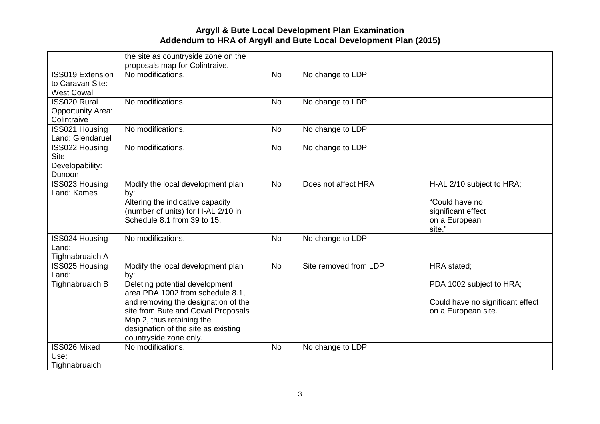|                                      | the site as countryside zone on the                                |           |                       |                                  |
|--------------------------------------|--------------------------------------------------------------------|-----------|-----------------------|----------------------------------|
|                                      | proposals map for Colintraive.                                     |           |                       |                                  |
| <b>ISS019 Extension</b>              | No modifications.                                                  | <b>No</b> | No change to LDP      |                                  |
| to Caravan Site:                     |                                                                    |           |                       |                                  |
| <b>West Cowal</b>                    |                                                                    |           |                       |                                  |
| <b>ISS020 Rural</b>                  | No modifications.                                                  | <b>No</b> | No change to LDP      |                                  |
| <b>Opportunity Area:</b>             |                                                                    |           |                       |                                  |
| Colintraive                          |                                                                    |           |                       |                                  |
| ISS021 Housing                       | No modifications.                                                  | <b>No</b> | No change to LDP      |                                  |
| Land: Glendaruel                     |                                                                    |           |                       |                                  |
| <b>ISS022 Housing</b><br><b>Site</b> | No modifications.                                                  | <b>No</b> | No change to LDP      |                                  |
| Developability:                      |                                                                    |           |                       |                                  |
| Dunoon                               |                                                                    |           |                       |                                  |
| ISS023 Housing                       | Modify the local development plan                                  | <b>No</b> | Does not affect HRA   | H-AL 2/10 subject to HRA;        |
| Land: Kames                          | by:                                                                |           |                       |                                  |
|                                      | Altering the indicative capacity                                   |           |                       | "Could have no                   |
|                                      | (number of units) for H-AL 2/10 in                                 |           |                       | significant effect               |
|                                      | Schedule 8.1 from 39 to 15.                                        |           |                       | on a European                    |
|                                      |                                                                    |           |                       | site."                           |
| ISS024 Housing                       | No modifications.                                                  | <b>No</b> | No change to LDP      |                                  |
| Land:                                |                                                                    |           |                       |                                  |
| Tighnabruaich A                      |                                                                    |           |                       |                                  |
| <b>ISS025 Housing</b>                | Modify the local development plan                                  | <b>No</b> | Site removed from LDP | HRA stated;                      |
| Land:                                | by:                                                                |           |                       |                                  |
| Tighnabruaich B                      | Deleting potential development<br>area PDA 1002 from schedule 8.1. |           |                       | PDA 1002 subject to HRA;         |
|                                      | and removing the designation of the                                |           |                       | Could have no significant effect |
|                                      | site from Bute and Cowal Proposals                                 |           |                       | on a European site.              |
|                                      | Map 2, thus retaining the                                          |           |                       |                                  |
|                                      | designation of the site as existing                                |           |                       |                                  |
|                                      | countryside zone only.                                             |           |                       |                                  |
| ISS026 Mixed                         | No modifications.                                                  | <b>No</b> | No change to LDP      |                                  |
| Use:                                 |                                                                    |           |                       |                                  |
| Tighnabruaich                        |                                                                    |           |                       |                                  |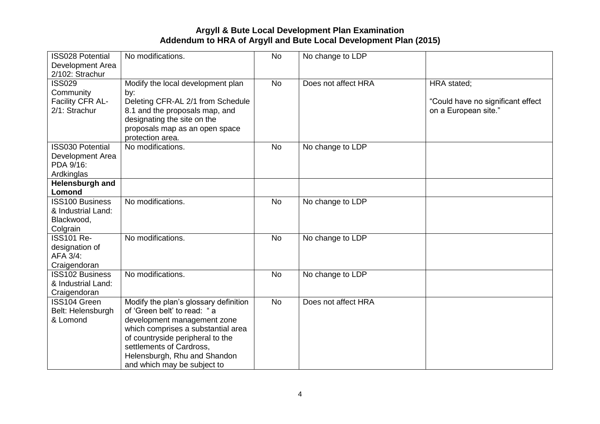| <b>ISS028 Potential</b><br>Development Area                                        | No modifications.                                                                                                                                                                                                                                                        | <b>No</b> | No change to LDP    |                                                                          |
|------------------------------------------------------------------------------------|--------------------------------------------------------------------------------------------------------------------------------------------------------------------------------------------------------------------------------------------------------------------------|-----------|---------------------|--------------------------------------------------------------------------|
| 2/102: Strachur<br><b>ISS029</b><br>Community<br>Facility CFR AL-<br>2/1: Strachur | Modify the local development plan<br>by:<br>Deleting CFR-AL 2/1 from Schedule<br>8.1 and the proposals map, and<br>designating the site on the<br>proposals map as an open space<br>protection area.                                                                     | <b>No</b> | Does not affect HRA | HRA stated;<br>"Could have no significant effect<br>on a European site." |
| <b>ISS030 Potential</b><br>Development Area<br>PDA 9/16:<br>Ardkinglas             | No modifications.                                                                                                                                                                                                                                                        | <b>No</b> | No change to LDP    |                                                                          |
| Helensburgh and<br>Lomond                                                          |                                                                                                                                                                                                                                                                          |           |                     |                                                                          |
| <b>ISS100 Business</b><br>& Industrial Land:<br>Blackwood,<br>Colgrain             | No modifications.                                                                                                                                                                                                                                                        | <b>No</b> | No change to LDP    |                                                                          |
| <b>ISS101 Re-</b><br>designation of<br>AFA 3/4:<br>Craigendoran                    | No modifications.                                                                                                                                                                                                                                                        | <b>No</b> | No change to LDP    |                                                                          |
| <b>ISS102 Business</b><br>& Industrial Land:<br>Craigendoran                       | No modifications.                                                                                                                                                                                                                                                        | <b>No</b> | No change to LDP    |                                                                          |
| ISS104 Green<br>Belt: Helensburgh<br>& Lomond                                      | Modify the plan's glossary definition<br>of 'Green belt' to read: "a<br>development management zone<br>which comprises a substantial area<br>of countryside peripheral to the<br>settlements of Cardross.<br>Helensburgh, Rhu and Shandon<br>and which may be subject to | <b>No</b> | Does not affect HRA |                                                                          |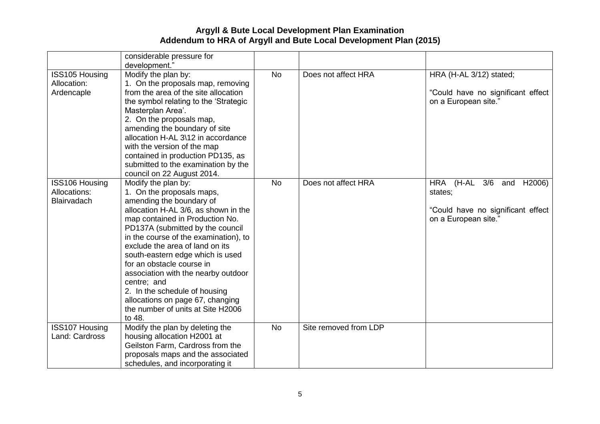|                                               | considerable pressure for<br>development."                                                                                                                                                                                                                                                                                                                                                                                                                                                                         |                 |                       |                                                                                                  |
|-----------------------------------------------|--------------------------------------------------------------------------------------------------------------------------------------------------------------------------------------------------------------------------------------------------------------------------------------------------------------------------------------------------------------------------------------------------------------------------------------------------------------------------------------------------------------------|-----------------|-----------------------|--------------------------------------------------------------------------------------------------|
| ISS105 Housing<br>Allocation:<br>Ardencaple   | Modify the plan by:<br>1. On the proposals map, removing<br>from the area of the site allocation<br>the symbol relating to the 'Strategic<br>Masterplan Area'.<br>2. On the proposals map,<br>amending the boundary of site<br>allocation H-AL 3\12 in accordance<br>with the version of the map<br>contained in production PD135, as<br>submitted to the examination by the<br>council on 22 August 2014.                                                                                                         | $\overline{No}$ | Does not affect HRA   | HRA (H-AL 3/12) stated;<br>"Could have no significant effect<br>on a European site."             |
| ISS106 Housing<br>Allocations:<br>Blairvadach | Modify the plan by:<br>1. On the proposals maps,<br>amending the boundary of<br>allocation H-AL 3/6, as shown in the<br>map contained in Production No.<br>PD137A (submitted by the council<br>in the course of the examination), to<br>exclude the area of land on its<br>south-eastern edge which is used<br>for an obstacle course in<br>association with the nearby outdoor<br>centre; and<br>2. In the schedule of housing<br>allocations on page 67, changing<br>the number of units at Site H2006<br>to 48. | <b>No</b>       | Does not affect HRA   | HRA (H-AL 3/6 and H2006)<br>states;<br>"Could have no significant effect<br>on a European site." |
| <b>ISS107 Housing</b><br>Land: Cardross       | Modify the plan by deleting the<br>housing allocation H2001 at<br>Geilston Farm, Cardross from the<br>proposals maps and the associated<br>schedules, and incorporating it                                                                                                                                                                                                                                                                                                                                         | <b>No</b>       | Site removed from LDP |                                                                                                  |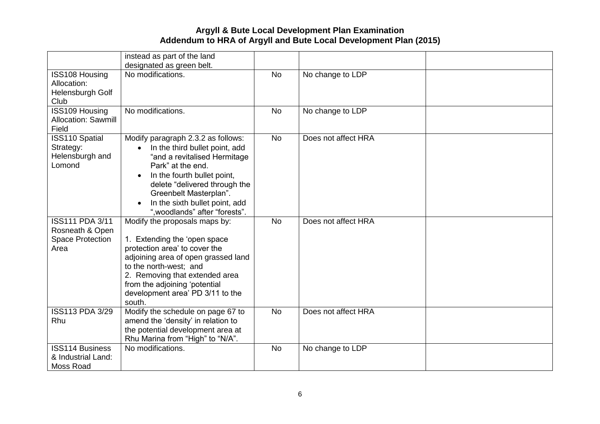|                                                                              | instead as part of the land                                                                                                                                                                                                                                                                          |           |                     |  |
|------------------------------------------------------------------------------|------------------------------------------------------------------------------------------------------------------------------------------------------------------------------------------------------------------------------------------------------------------------------------------------------|-----------|---------------------|--|
| ISS108 Housing<br>Allocation:<br>Helensburgh Golf<br>Club                    | designated as green belt.<br>No modifications.                                                                                                                                                                                                                                                       | <b>No</b> | No change to LDP    |  |
| ISS109 Housing<br>Allocation: Sawmill<br>Field                               | No modifications.                                                                                                                                                                                                                                                                                    | <b>No</b> | No change to LDP    |  |
| <b>ISS110 Spatial</b><br>Strategy:<br>Helensburgh and<br>Lomond              | Modify paragraph 2.3.2 as follows:<br>In the third bullet point, add<br>$\bullet$<br>"and a revitalised Hermitage<br>Park" at the end.<br>In the fourth bullet point,<br>delete "delivered through the<br>Greenbelt Masterplan".<br>In the sixth bullet point, add<br>", woodlands" after "forests". | <b>No</b> | Does not affect HRA |  |
| <b>ISS111 PDA 3/11</b><br>Rosneath & Open<br><b>Space Protection</b><br>Area | Modify the proposals maps by:<br>1. Extending the 'open space<br>protection area' to cover the<br>adjoining area of open grassed land<br>to the north-west; and<br>2. Removing that extended area<br>from the adjoining 'potential<br>development area' PD 3/11 to the<br>south.                     | <b>No</b> | Does not affect HRA |  |
| <b>ISS113 PDA 3/29</b><br>Rhu                                                | Modify the schedule on page 67 to<br>amend the 'density' in relation to<br>the potential development area at<br>Rhu Marina from "High" to "N/A".                                                                                                                                                     | <b>No</b> | Does not affect HRA |  |
| <b>ISS114 Business</b><br>& Industrial Land:<br>Moss Road                    | No modifications.                                                                                                                                                                                                                                                                                    | <b>No</b> | No change to LDP    |  |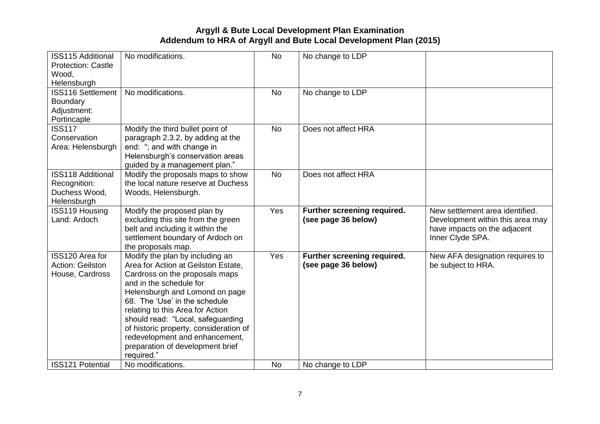| <b>ISS115 Additional</b><br><b>Protection: Castle</b><br>Wood,<br>Helensburgh | No modifications.                                                                                                                                                                                                                                                                                                                                                                                             | <b>No</b> | No change to LDP                                   |                                                                                                                         |
|-------------------------------------------------------------------------------|---------------------------------------------------------------------------------------------------------------------------------------------------------------------------------------------------------------------------------------------------------------------------------------------------------------------------------------------------------------------------------------------------------------|-----------|----------------------------------------------------|-------------------------------------------------------------------------------------------------------------------------|
| <b>ISS116 Settlement</b><br>Boundary<br>Adjustment:<br>Portincaple            | No modifications.                                                                                                                                                                                                                                                                                                                                                                                             | <b>No</b> | No change to LDP                                   |                                                                                                                         |
| <b>ISS117</b><br>Conservation<br>Area: Helensburgh                            | Modify the third bullet point of<br>paragraph 2.3.2, by adding at the<br>end: "; and with change in<br>Helensburgh's conservation areas<br>guided by a management plan."                                                                                                                                                                                                                                      | <b>No</b> | Does not affect HRA                                |                                                                                                                         |
| <b>ISS118 Additional</b><br>Recognition:<br>Duchess Wood,<br>Helensburgh      | Modify the proposals maps to show<br>the local nature reserve at Duchess<br>Woods, Helensburgh.                                                                                                                                                                                                                                                                                                               | <b>No</b> | Does not affect HRA                                |                                                                                                                         |
| <b>ISS119 Housing</b><br>Land: Ardoch                                         | Modify the proposed plan by<br>excluding this site from the green<br>belt and including it within the<br>settlement boundary of Ardoch on<br>the proposals map.                                                                                                                                                                                                                                               | Yes       | Further screening required.<br>(see page 36 below) | New settlement area identified.<br>Development within this area may<br>have impacts on the adjacent<br>Inner Clyde SPA. |
| <b>ISS120 Area for</b><br>Action: Geilston<br>House, Cardross                 | Modify the plan by including an<br>Area for Action at Geilston Estate,<br>Cardross on the proposals maps<br>and in the schedule for<br>Helensburgh and Lomond on page<br>68. The 'Use' in the schedule<br>relating to this Area for Action<br>should read: "Local, safeguarding<br>of historic property, consideration of<br>redevelopment and enhancement,<br>preparation of development brief<br>required." | Yes       | Further screening required.<br>(see page 36 below) | New AFA designation requires to<br>be subject to HRA.                                                                   |
| <b>ISS121 Potential</b>                                                       | No modifications.                                                                                                                                                                                                                                                                                                                                                                                             | <b>No</b> | No change to LDP                                   |                                                                                                                         |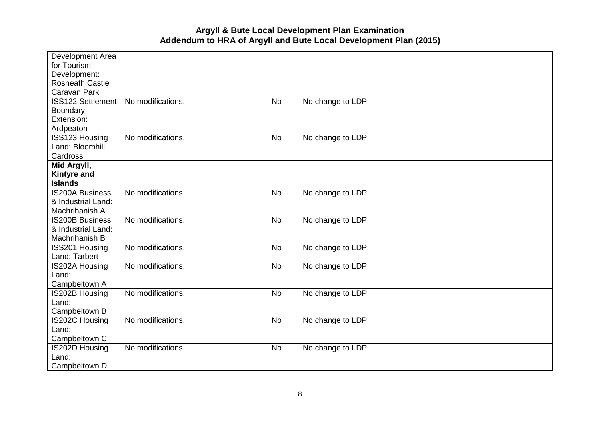| Development Area       |                   |           |                  |  |
|------------------------|-------------------|-----------|------------------|--|
| for Tourism            |                   |           |                  |  |
| Development:           |                   |           |                  |  |
| <b>Rosneath Castle</b> |                   |           |                  |  |
| Caravan Park           |                   |           |                  |  |
| ISS122 Settlement      | No modifications. | <b>No</b> | No change to LDP |  |
| Boundary               |                   |           |                  |  |
| Extension:             |                   |           |                  |  |
| Ardpeaton              |                   |           |                  |  |
| ISS123 Housing         | No modifications. | <b>No</b> | No change to LDP |  |
| Land: Bloomhill,       |                   |           |                  |  |
| Cardross               |                   |           |                  |  |
| Mid Argyll,            |                   |           |                  |  |
| <b>Kintyre and</b>     |                   |           |                  |  |
| <b>Islands</b>         |                   |           |                  |  |
| <b>IS200A Business</b> | No modifications. | <b>No</b> | No change to LDP |  |
| & Industrial Land:     |                   |           |                  |  |
| Machrihanish A         |                   |           |                  |  |
| <b>IS200B Business</b> | No modifications. | <b>No</b> | No change to LDP |  |
| & Industrial Land:     |                   |           |                  |  |
| Machrihanish B         |                   |           |                  |  |
| ISS201 Housing         | No modifications. | <b>No</b> | No change to LDP |  |
| Land: Tarbert          |                   |           |                  |  |
| IS202A Housing         | No modifications. | <b>No</b> | No change to LDP |  |
| Land:                  |                   |           |                  |  |
| Campbeltown A          |                   |           |                  |  |
| IS202B Housing         | No modifications. | <b>No</b> | No change to LDP |  |
| Land:                  |                   |           |                  |  |
| Campbeltown B          |                   |           |                  |  |
| <b>IS202C Housing</b>  | No modifications. | <b>No</b> | No change to LDP |  |
| Land:                  |                   |           |                  |  |
| Campbeltown C          |                   |           |                  |  |
| <b>IS202D Housing</b>  | No modifications. | <b>No</b> | No change to LDP |  |
| Land:                  |                   |           |                  |  |
| Campbeltown D          |                   |           |                  |  |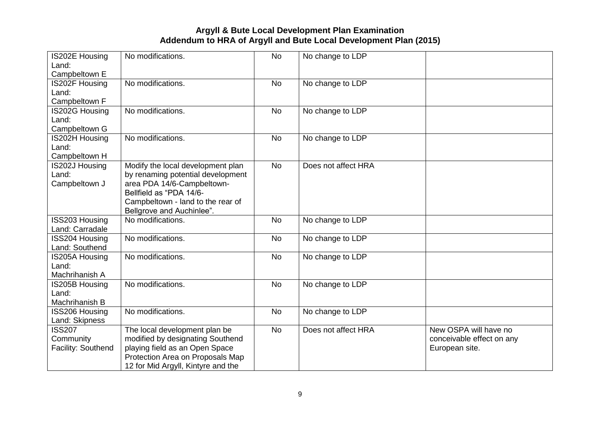| <b>IS202E Housing</b> | No modifications.                  | <b>No</b> | No change to LDP    |                           |
|-----------------------|------------------------------------|-----------|---------------------|---------------------------|
| Land:                 |                                    |           |                     |                           |
| Campbeltown E         |                                    |           |                     |                           |
| <b>IS202F Housing</b> | No modifications.                  | <b>No</b> | No change to LDP    |                           |
| Land:                 |                                    |           |                     |                           |
| Campbeltown F         |                                    |           |                     |                           |
| <b>IS202G Housing</b> | No modifications.                  | <b>No</b> | No change to LDP    |                           |
| Land:                 |                                    |           |                     |                           |
| Campbeltown G         |                                    |           |                     |                           |
| <b>IS202H Housing</b> | No modifications.                  | <b>No</b> | No change to LDP    |                           |
| Land:                 |                                    |           |                     |                           |
| Campbeltown H         |                                    |           |                     |                           |
| <b>IS202J Housing</b> | Modify the local development plan  | <b>No</b> | Does not affect HRA |                           |
| Land:                 | by renaming potential development  |           |                     |                           |
| Campbeltown J         | area PDA 14/6-Campbeltown-         |           |                     |                           |
|                       | Bellfield as "PDA 14/6-            |           |                     |                           |
|                       | Campbeltown - land to the rear of  |           |                     |                           |
|                       | Bellgrove and Auchinlee".          |           |                     |                           |
| ISS203 Housing        | No modifications.                  | <b>No</b> | No change to LDP    |                           |
| Land: Carradale       |                                    |           |                     |                           |
| ISS204 Housing        | No modifications.                  | <b>No</b> | No change to LDP    |                           |
| Land: Southend        |                                    |           |                     |                           |
| <b>IS205A Housing</b> | No modifications.                  | <b>No</b> | No change to LDP    |                           |
| Land:                 |                                    |           |                     |                           |
| Machrihanish A        |                                    |           |                     |                           |
| <b>IS205B Housing</b> | No modifications.                  | <b>No</b> | No change to LDP    |                           |
| Land:                 |                                    |           |                     |                           |
| Machrihanish B        |                                    |           |                     |                           |
| <b>ISS206 Housing</b> | No modifications.                  | <b>No</b> | No change to LDP    |                           |
| Land: Skipness        |                                    |           |                     |                           |
| <b>ISS207</b>         | The local development plan be      | <b>No</b> | Does not affect HRA | New OSPA will have no     |
| Community             | modified by designating Southend   |           |                     | conceivable effect on any |
| Facility: Southend    | playing field as an Open Space     |           |                     | European site.            |
|                       | Protection Area on Proposals Map   |           |                     |                           |
|                       | 12 for Mid Argyll, Kintyre and the |           |                     |                           |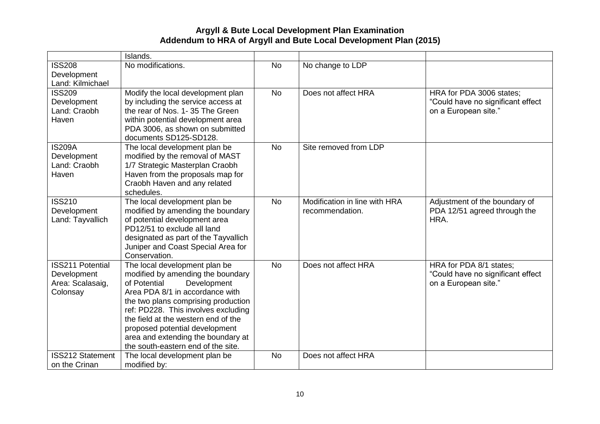|                                   | Islands.                                                                   |           |                               |                                   |
|-----------------------------------|----------------------------------------------------------------------------|-----------|-------------------------------|-----------------------------------|
| <b>ISS208</b>                     | No modifications.                                                          | <b>No</b> | No change to LDP              |                                   |
| Development                       |                                                                            |           |                               |                                   |
| Land: Kilmichael<br><b>ISS209</b> |                                                                            | <b>No</b> | Does not affect HRA           | HRA for PDA 3006 states;          |
| Development                       | Modify the local development plan<br>by including the service access at    |           |                               | "Could have no significant effect |
| Land: Craobh                      | the rear of Nos. 1-35 The Green                                            |           |                               | on a European site."              |
| Haven                             | within potential development area                                          |           |                               |                                   |
|                                   | PDA 3006, as shown on submitted                                            |           |                               |                                   |
|                                   | documents SD125-SD128.                                                     |           |                               |                                   |
| <b>IS209A</b>                     | The local development plan be                                              | <b>No</b> | Site removed from LDP         |                                   |
| Development                       | modified by the removal of MAST                                            |           |                               |                                   |
| Land: Craobh<br>Haven             | 1/7 Strategic Masterplan Craobh<br>Haven from the proposals map for        |           |                               |                                   |
|                                   | Craobh Haven and any related                                               |           |                               |                                   |
|                                   | schedules.                                                                 |           |                               |                                   |
| <b>ISS210</b>                     | The local development plan be                                              | <b>No</b> | Modification in line with HRA | Adjustment of the boundary of     |
| Development                       | modified by amending the boundary                                          |           | recommendation.               | PDA 12/51 agreed through the      |
| Land: Tayvallich                  | of potential development area                                              |           |                               | HRA.                              |
|                                   | PD12/51 to exclude all land<br>designated as part of the Tayvallich        |           |                               |                                   |
|                                   | Juniper and Coast Special Area for                                         |           |                               |                                   |
|                                   | Conservation.                                                              |           |                               |                                   |
| <b>ISS211 Potential</b>           | The local development plan be                                              | <b>No</b> | Does not affect HRA           | HRA for PDA 8/1 states;           |
| Development                       | modified by amending the boundary                                          |           |                               | "Could have no significant effect |
| Area: Scalasaig,                  | of Potential<br>Development                                                |           |                               | on a European site."              |
| Colonsay                          | Area PDA 8/1 in accordance with                                            |           |                               |                                   |
|                                   | the two plans comprising production<br>ref: PD228. This involves excluding |           |                               |                                   |
|                                   | the field at the western end of the                                        |           |                               |                                   |
|                                   | proposed potential development                                             |           |                               |                                   |
|                                   | area and extending the boundary at                                         |           |                               |                                   |
|                                   | the south-eastern end of the site.                                         |           |                               |                                   |
| <b>ISS212 Statement</b>           | The local development plan be                                              | <b>No</b> | Does not affect HRA           |                                   |
| on the Crinan                     | modified by:                                                               |           |                               |                                   |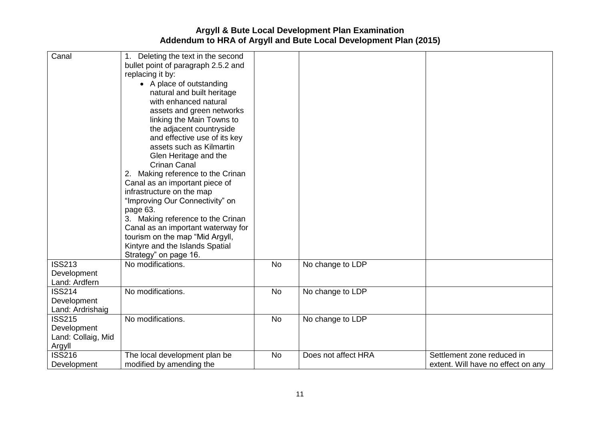| Canal                                                        | 1. Deleting the text in the second<br>bullet point of paragraph 2.5.2 and<br>replacing it by:<br>• A place of outstanding<br>natural and built heritage<br>with enhanced natural<br>assets and green networks<br>linking the Main Towns to<br>the adjacent countryside<br>and effective use of its key<br>assets such as Kilmartin<br>Glen Heritage and the<br><b>Crinan Canal</b><br>2. Making reference to the Crinan<br>Canal as an important piece of<br>infrastructure on the map<br>"Improving Our Connectivity" on<br>page 63.<br>3. Making reference to the Crinan<br>Canal as an important waterway for |           |                     |                                                                  |
|--------------------------------------------------------------|------------------------------------------------------------------------------------------------------------------------------------------------------------------------------------------------------------------------------------------------------------------------------------------------------------------------------------------------------------------------------------------------------------------------------------------------------------------------------------------------------------------------------------------------------------------------------------------------------------------|-----------|---------------------|------------------------------------------------------------------|
|                                                              | Kintyre and the Islands Spatial                                                                                                                                                                                                                                                                                                                                                                                                                                                                                                                                                                                  |           |                     |                                                                  |
| <b>ISS213</b>                                                | Strategy" on page 16.<br>No modifications.                                                                                                                                                                                                                                                                                                                                                                                                                                                                                                                                                                       | <b>No</b> | No change to LDP    |                                                                  |
| Development<br>Land: Ardfern                                 |                                                                                                                                                                                                                                                                                                                                                                                                                                                                                                                                                                                                                  |           |                     |                                                                  |
| <b>ISS214</b><br>Development<br>Land: Ardrishaig             | No modifications.                                                                                                                                                                                                                                                                                                                                                                                                                                                                                                                                                                                                | <b>No</b> | No change to LDP    |                                                                  |
| <b>ISS215</b><br>Development<br>Land: Collaig, Mid<br>Argyll | No modifications.                                                                                                                                                                                                                                                                                                                                                                                                                                                                                                                                                                                                | <b>No</b> | No change to LDP    |                                                                  |
| <b>ISS216</b><br>Development                                 | The local development plan be<br>modified by amending the                                                                                                                                                                                                                                                                                                                                                                                                                                                                                                                                                        | <b>No</b> | Does not affect HRA | Settlement zone reduced in<br>extent. Will have no effect on any |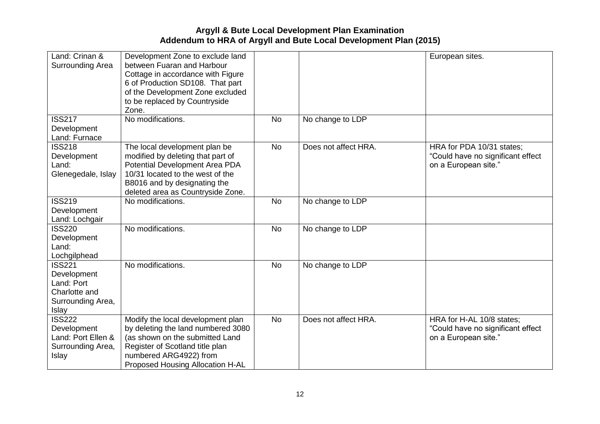| Land: Crinan &<br>Surrounding Area                                                        | Development Zone to exclude land<br>between Fuaran and Harbour<br>Cottage in accordance with Figure<br>6 of Production SD108. That part<br>of the Development Zone excluded<br>to be replaced by Countryside<br>Zone. |           |                      | European sites.                                                                        |
|-------------------------------------------------------------------------------------------|-----------------------------------------------------------------------------------------------------------------------------------------------------------------------------------------------------------------------|-----------|----------------------|----------------------------------------------------------------------------------------|
| <b>ISS217</b><br>Development<br>Land: Furnace                                             | No modifications.                                                                                                                                                                                                     | <b>No</b> | No change to LDP     |                                                                                        |
| <b>ISS218</b><br>Development<br>Land:<br>Glenegedale, Islay                               | The local development plan be<br>modified by deleting that part of<br>Potential Development Area PDA<br>10/31 located to the west of the<br>B8016 and by designating the<br>deleted area as Countryside Zone.         | <b>No</b> | Does not affect HRA. | HRA for PDA 10/31 states;<br>"Could have no significant effect<br>on a European site." |
| <b>ISS219</b><br>Development<br>Land: Lochgair                                            | No modifications.                                                                                                                                                                                                     | <b>No</b> | No change to LDP     |                                                                                        |
| <b>ISS220</b><br>Development<br>Land:<br>Lochgilphead                                     | No modifications.                                                                                                                                                                                                     | <b>No</b> | No change to LDP     |                                                                                        |
| <b>ISS221</b><br>Development<br>Land: Port<br>Charlotte and<br>Surrounding Area,<br>Islay | No modifications.                                                                                                                                                                                                     | <b>No</b> | No change to LDP     |                                                                                        |
| <b>ISS222</b><br>Development<br>Land: Port Ellen &<br>Surrounding Area,<br>Islay          | Modify the local development plan<br>by deleting the land numbered 3080<br>(as shown on the submitted Land<br>Register of Scotland title plan<br>numbered ARG4922) from<br>Proposed Housing Allocation H-AL           | <b>No</b> | Does not affect HRA. | HRA for H-AL 10/8 states;<br>"Could have no significant effect<br>on a European site." |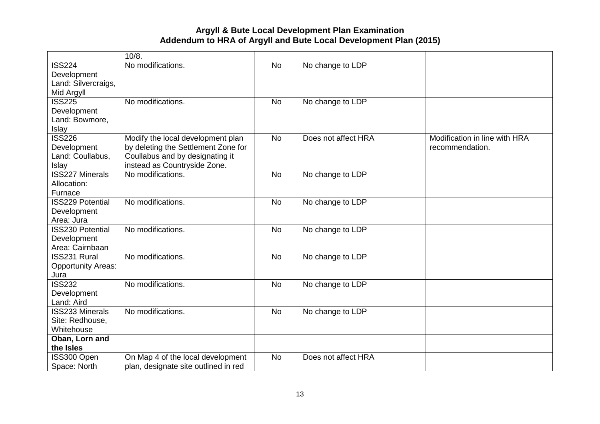|                                 | 10/8.                                             |           |                     |                               |
|---------------------------------|---------------------------------------------------|-----------|---------------------|-------------------------------|
| <b>ISS224</b>                   | No modifications.                                 | <b>No</b> | No change to LDP    |                               |
| Development                     |                                                   |           |                     |                               |
| Land: Silvercraigs,             |                                                   |           |                     |                               |
| Mid Argyll                      |                                                   |           |                     |                               |
| <b>ISS225</b>                   | No modifications.                                 | <b>No</b> | No change to LDP    |                               |
| Development                     |                                                   |           |                     |                               |
| Land: Bowmore,                  |                                                   |           |                     |                               |
| Islay                           |                                                   |           |                     |                               |
| <b>ISS226</b>                   | Modify the local development plan                 | <b>No</b> | Does not affect HRA | Modification in line with HRA |
| Development                     | by deleting the Settlement Zone for               |           |                     | recommendation.               |
| Land: Coullabus,                | Coullabus and by designating it                   |           |                     |                               |
| Islay<br><b>ISS227 Minerals</b> | instead as Countryside Zone.<br>No modifications. |           |                     |                               |
|                                 |                                                   | <b>No</b> | No change to LDP    |                               |
| Allocation:<br>Furnace          |                                                   |           |                     |                               |
| <b>ISS229 Potential</b>         | No modifications.                                 | <b>No</b> | No change to LDP    |                               |
| Development                     |                                                   |           |                     |                               |
| Area: Jura                      |                                                   |           |                     |                               |
| <b>ISS230 Potential</b>         | No modifications.                                 | <b>No</b> | No change to LDP    |                               |
| Development                     |                                                   |           |                     |                               |
| Area: Cairnbaan                 |                                                   |           |                     |                               |
| ISS231 Rural                    | No modifications.                                 | <b>No</b> | No change to LDP    |                               |
| <b>Opportunity Areas:</b>       |                                                   |           |                     |                               |
| Jura                            |                                                   |           |                     |                               |
| <b>ISS232</b>                   | No modifications.                                 | <b>No</b> | No change to LDP    |                               |
| Development                     |                                                   |           |                     |                               |
| Land: Aird                      |                                                   |           |                     |                               |
| <b>ISS233 Minerals</b>          | No modifications.                                 | <b>No</b> | No change to LDP    |                               |
| Site: Redhouse,                 |                                                   |           |                     |                               |
| Whitehouse                      |                                                   |           |                     |                               |
| Oban, Lorn and                  |                                                   |           |                     |                               |
| the Isles                       |                                                   |           |                     |                               |
| ISS300 Open                     | On Map 4 of the local development                 | <b>No</b> | Does not affect HRA |                               |
| Space: North                    | plan, designate site outlined in red              |           |                     |                               |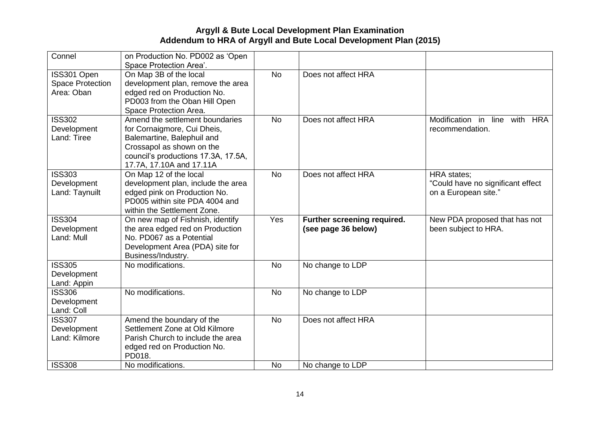| Connel                  | on Production No. PD002 as 'Open    |           |                             |                                     |
|-------------------------|-------------------------------------|-----------|-----------------------------|-------------------------------------|
|                         | Space Protection Area'.             |           |                             |                                     |
| ISS301 Open             | On Map 3B of the local              | <b>No</b> | Does not affect HRA         |                                     |
| <b>Space Protection</b> | development plan, remove the area   |           |                             |                                     |
| Area: Oban              | edged red on Production No.         |           |                             |                                     |
|                         | PD003 from the Oban Hill Open       |           |                             |                                     |
|                         | Space Protection Area.              |           |                             |                                     |
| <b>ISS302</b>           | Amend the settlement boundaries     | <b>No</b> | Does not affect HRA         | Modification in<br>line<br>with HRA |
| Development             | for Cornaigmore, Cui Dheis,         |           |                             | recommendation.                     |
| Land: Tiree             | Balemartine, Balephuil and          |           |                             |                                     |
|                         | Crossapol as shown on the           |           |                             |                                     |
|                         | council's productions 17.3A, 17.5A, |           |                             |                                     |
|                         | 17.7A, 17.10A and 17.11A            |           |                             |                                     |
| <b>ISS303</b>           | On Map 12 of the local              | <b>No</b> | Does not affect HRA         | <b>HRA</b> states;                  |
| Development             | development plan, include the area  |           |                             | "Could have no significant effect   |
| Land: Taynuilt          | edged pink on Production No.        |           |                             | on a European site."                |
|                         | PD005 within site PDA 4004 and      |           |                             |                                     |
|                         | within the Settlement Zone.         |           |                             |                                     |
| <b>ISS304</b>           | On new map of Fishnish, identify    | Yes       | Further screening required. | New PDA proposed that has not       |
| Development             | the area edged red on Production    |           | (see page 36 below)         | been subject to HRA.                |
| Land: Mull              | No. PD067 as a Potential            |           |                             |                                     |
|                         | Development Area (PDA) site for     |           |                             |                                     |
|                         | Business/Industry.                  |           |                             |                                     |
| <b>ISS305</b>           | No modifications.                   | <b>No</b> | No change to LDP            |                                     |
| Development             |                                     |           |                             |                                     |
| Land: Appin             |                                     |           |                             |                                     |
| <b>ISS306</b>           | No modifications.                   | <b>No</b> | No change to LDP            |                                     |
| Development             |                                     |           |                             |                                     |
| Land: Coll              |                                     |           |                             |                                     |
| <b>ISS307</b>           | Amend the boundary of the           | <b>No</b> | Does not affect HRA         |                                     |
| Development             | Settlement Zone at Old Kilmore      |           |                             |                                     |
| Land: Kilmore           | Parish Church to include the area   |           |                             |                                     |
|                         | edged red on Production No.         |           |                             |                                     |
|                         | PD018.                              |           |                             |                                     |
| <b>ISS308</b>           | No modifications.                   | <b>No</b> | No change to LDP            |                                     |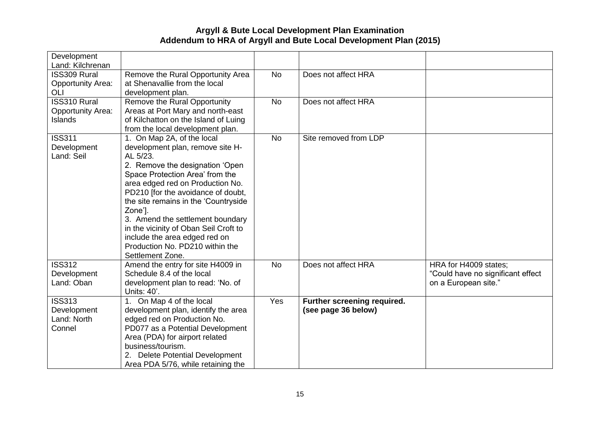| Development<br>Land: Kilchrenan     |                                                                            |           |                             |                                   |
|-------------------------------------|----------------------------------------------------------------------------|-----------|-----------------------------|-----------------------------------|
| <b>ISS309 Rural</b>                 | Remove the Rural Opportunity Area                                          | <b>No</b> | Does not affect HRA         |                                   |
| <b>Opportunity Area:</b><br>OLI     | at Shenavallie from the local<br>development plan.                         |           |                             |                                   |
| ISS310 Rural                        | Remove the Rural Opportunity                                               | <b>No</b> | Does not affect HRA         |                                   |
| <b>Opportunity Area:</b><br>Islands | Areas at Port Mary and north-east<br>of Kilchatton on the Island of Luing  |           |                             |                                   |
|                                     | from the local development plan.                                           |           |                             |                                   |
| <b>ISS311</b>                       | 1. On Map 2A, of the local                                                 | <b>No</b> | Site removed from LDP       |                                   |
| Development<br>Land: Seil           | development plan, remove site H-<br>AL 5/23.                               |           |                             |                                   |
|                                     | 2. Remove the designation 'Open                                            |           |                             |                                   |
|                                     | Space Protection Area' from the                                            |           |                             |                                   |
|                                     | area edged red on Production No.                                           |           |                             |                                   |
|                                     | PD210 [for the avoidance of doubt,<br>the site remains in the 'Countryside |           |                             |                                   |
|                                     | Zone'].                                                                    |           |                             |                                   |
|                                     | 3. Amend the settlement boundary                                           |           |                             |                                   |
|                                     | in the vicinity of Oban Seil Croft to                                      |           |                             |                                   |
|                                     | include the area edged red on                                              |           |                             |                                   |
|                                     | Production No. PD210 within the                                            |           |                             |                                   |
| <b>ISS312</b>                       | Settlement Zone.<br>Amend the entry for site H4009 in                      | <b>No</b> | Does not affect HRA         | HRA for H4009 states;             |
| Development                         | Schedule 8.4 of the local                                                  |           |                             | "Could have no significant effect |
| Land: Oban                          | development plan to read: 'No. of                                          |           |                             | on a European site."              |
|                                     | Units: 40'.                                                                |           |                             |                                   |
| <b>ISS313</b>                       | 1. On Map 4 of the local                                                   | Yes       | Further screening required. |                                   |
| Development                         | development plan, identify the area                                        |           | (see page 36 below)         |                                   |
| Land: North                         | edged red on Production No.                                                |           |                             |                                   |
| Connel                              | PD077 as a Potential Development                                           |           |                             |                                   |
|                                     | Area (PDA) for airport related<br>business/tourism.                        |           |                             |                                   |
|                                     | 2. Delete Potential Development                                            |           |                             |                                   |
|                                     | Area PDA 5/76, while retaining the                                         |           |                             |                                   |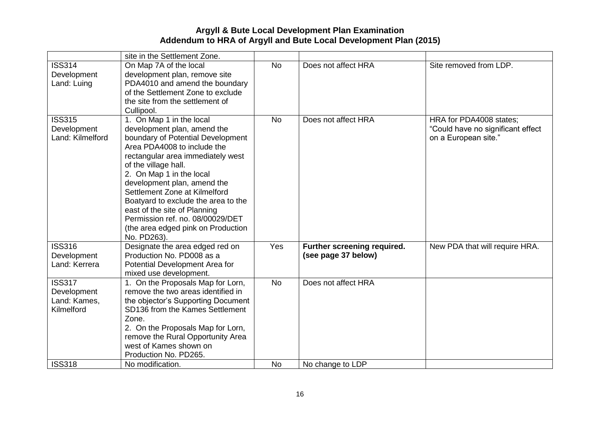|                                                                             | site in the Settlement Zone.                                                                                                                                                                                                                                                                                                                                                                                                                         |                        |                                                    |                                                                                      |
|-----------------------------------------------------------------------------|------------------------------------------------------------------------------------------------------------------------------------------------------------------------------------------------------------------------------------------------------------------------------------------------------------------------------------------------------------------------------------------------------------------------------------------------------|------------------------|----------------------------------------------------|--------------------------------------------------------------------------------------|
| <b>ISS314</b><br>Development<br>Land: Luing                                 | On Map 7A of the local<br>development plan, remove site<br>PDA4010 and amend the boundary<br>of the Settlement Zone to exclude<br>the site from the settlement of<br>Cullipool.                                                                                                                                                                                                                                                                      | <b>No</b>              | Does not affect HRA                                | Site removed from LDP.                                                               |
| <b>ISS315</b><br>Development<br>Land: Kilmelford                            | 1. On Map 1 in the local<br>development plan, amend the<br>boundary of Potential Development<br>Area PDA4008 to include the<br>rectangular area immediately west<br>of the village hall.<br>2. On Map 1 in the local<br>development plan, amend the<br>Settlement Zone at Kilmelford<br>Boatyard to exclude the area to the<br>east of the site of Planning<br>Permission ref. no. 08/00029/DET<br>(the area edged pink on Production<br>No. PD263). | <b>No</b>              | Does not affect HRA                                | HRA for PDA4008 states;<br>"Could have no significant effect<br>on a European site." |
| <b>ISS316</b><br>Development<br>Land: Kerrera                               | Designate the area edged red on<br>Production No. PD008 as a<br>Potential Development Area for<br>mixed use development.                                                                                                                                                                                                                                                                                                                             | Yes                    | Further screening required.<br>(see page 37 below) | New PDA that will require HRA.                                                       |
| <b>ISS317</b><br>Development<br>Land: Kames,<br>Kilmelford<br><b>ISS318</b> | 1. On the Proposals Map for Lorn,<br>remove the two areas identified in<br>the objector's Supporting Document<br>SD136 from the Kames Settlement<br>Zone.<br>2. On the Proposals Map for Lorn,<br>remove the Rural Opportunity Area<br>west of Kames shown on<br>Production No. PD265.<br>No modification.                                                                                                                                           | <b>No</b><br><b>No</b> | Does not affect HRA<br>No change to LDP            |                                                                                      |
|                                                                             |                                                                                                                                                                                                                                                                                                                                                                                                                                                      |                        |                                                    |                                                                                      |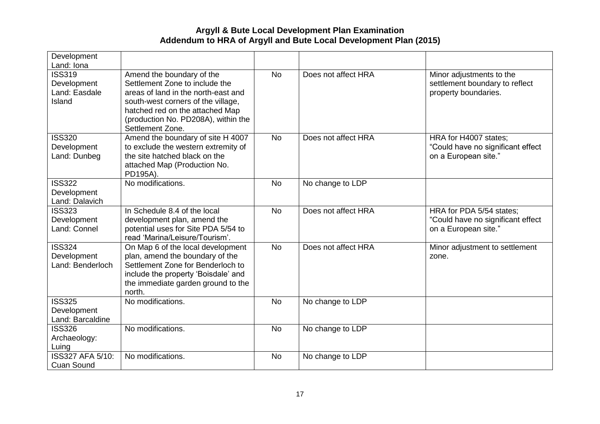| Development<br>Land: Iona                               |                                                                                                                                                                                                                                        |           |                     |                                                                                       |
|---------------------------------------------------------|----------------------------------------------------------------------------------------------------------------------------------------------------------------------------------------------------------------------------------------|-----------|---------------------|---------------------------------------------------------------------------------------|
| <b>ISS319</b><br>Development<br>Land: Easdale<br>Island | Amend the boundary of the<br>Settlement Zone to include the<br>areas of land in the north-east and<br>south-west corners of the village,<br>hatched red on the attached Map<br>(production No. PD208A), within the<br>Settlement Zone. | <b>No</b> | Does not affect HRA | Minor adjustments to the<br>settlement boundary to reflect<br>property boundaries.    |
| <b>ISS320</b><br>Development<br>Land: Dunbeg            | Amend the boundary of site H 4007<br>to exclude the western extremity of<br>the site hatched black on the<br>attached Map (Production No.<br>PD195A).                                                                                  | <b>No</b> | Does not affect HRA | HRA for H4007 states;<br>"Could have no significant effect<br>on a European site."    |
| <b>ISS322</b><br>Development<br>Land: Dalavich          | No modifications.                                                                                                                                                                                                                      | <b>No</b> | No change to LDP    |                                                                                       |
| <b>ISS323</b><br>Development<br>Land: Connel            | In Schedule 8.4 of the local<br>development plan, amend the<br>potential uses for Site PDA 5/54 to<br>read 'Marina/Leisure/Tourism'.                                                                                                   | <b>No</b> | Does not affect HRA | HRA for PDA 5/54 states;<br>"Could have no significant effect<br>on a European site." |
| <b>ISS324</b><br>Development<br>Land: Benderloch        | On Map 6 of the local development<br>plan, amend the boundary of the<br>Settlement Zone for Benderloch to<br>include the property 'Boisdale' and<br>the immediate garden ground to the<br>north.                                       | <b>No</b> | Does not affect HRA | Minor adjustment to settlement<br>zone.                                               |
| <b>ISS325</b><br>Development<br>Land: Barcaldine        | No modifications.                                                                                                                                                                                                                      | <b>No</b> | No change to LDP    |                                                                                       |
| <b>ISS326</b><br>Archaeology:<br>Luing                  | No modifications.                                                                                                                                                                                                                      | <b>No</b> | No change to LDP    |                                                                                       |
| <b>ISS327 AFA 5/10:</b><br><b>Cuan Sound</b>            | No modifications.                                                                                                                                                                                                                      | <b>No</b> | No change to LDP    |                                                                                       |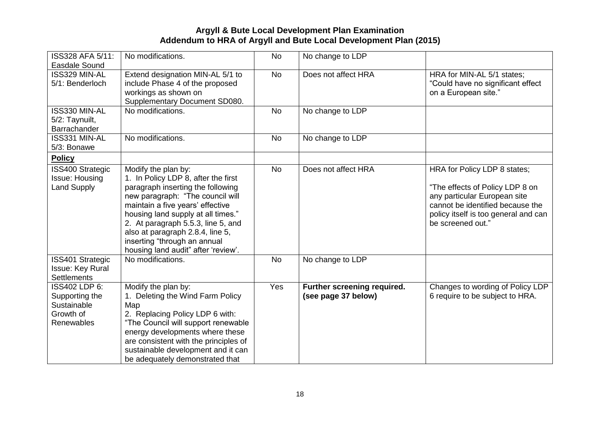| ISS328 AFA 5/11:        | No modifications.                     | <b>No</b> | No change to LDP            |                                      |
|-------------------------|---------------------------------------|-----------|-----------------------------|--------------------------------------|
| Easdale Sound           |                                       |           |                             |                                      |
| ISS329 MIN-AL           | Extend designation MIN-AL 5/1 to      | <b>No</b> | Does not affect HRA         | HRA for MIN-AL 5/1 states;           |
| 5/1: Benderloch         | include Phase 4 of the proposed       |           |                             | "Could have no significant effect    |
|                         | workings as shown on                  |           |                             | on a European site."                 |
|                         | Supplementary Document SD080.         |           |                             |                                      |
| ISS330 MIN-AL           | No modifications.                     | <b>No</b> | No change to LDP            |                                      |
| 5/2: Taynuilt,          |                                       |           |                             |                                      |
| Barrachander            |                                       |           |                             |                                      |
| ISS331 MIN-AL           | No modifications.                     | <b>No</b> | No change to LDP            |                                      |
| 5/3: Bonawe             |                                       |           |                             |                                      |
| <b>Policy</b>           |                                       |           |                             |                                      |
| <b>ISS400 Strategic</b> | Modify the plan by:                   | <b>No</b> | Does not affect HRA         | HRA for Policy LDP 8 states;         |
| <b>Issue: Housing</b>   | 1. In Policy LDP 8, after the first   |           |                             |                                      |
| <b>Land Supply</b>      | paragraph inserting the following     |           |                             | "The effects of Policy LDP 8 on      |
|                         | new paragraph: "The council will      |           |                             | any particular European site         |
|                         | maintain a five years' effective      |           |                             | cannot be identified because the     |
|                         | housing land supply at all times."    |           |                             | policy itself is too general and can |
|                         | 2. At paragraph 5.5.3, line 5, and    |           |                             | be screened out."                    |
|                         | also at paragraph 2.8.4, line 5,      |           |                             |                                      |
|                         |                                       |           |                             |                                      |
|                         | inserting "through an annual          |           |                             |                                      |
|                         | housing land audit" after 'review'.   |           |                             |                                      |
| <b>ISS401 Strategic</b> | No modifications.                     | <b>No</b> | No change to LDP            |                                      |
| <b>Issue: Key Rural</b> |                                       |           |                             |                                      |
| <b>Settlements</b>      |                                       |           |                             |                                      |
| ISS402 LDP 6:           | Modify the plan by:                   | Yes       | Further screening required. | Changes to wording of Policy LDP     |
| Supporting the          | 1. Deleting the Wind Farm Policy      |           | (see page 37 below)         | 6 require to be subject to HRA.      |
| Sustainable             | Map                                   |           |                             |                                      |
| Growth of               | 2. Replacing Policy LDP 6 with:       |           |                             |                                      |
| Renewables              | "The Council will support renewable   |           |                             |                                      |
|                         | energy developments where these       |           |                             |                                      |
|                         | are consistent with the principles of |           |                             |                                      |
|                         | sustainable development and it can    |           |                             |                                      |
|                         | be adequately demonstrated that       |           |                             |                                      |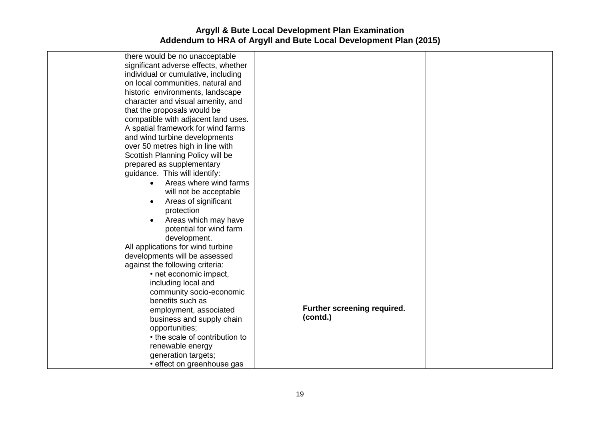| there would be no unacceptable       |                             |  |
|--------------------------------------|-----------------------------|--|
| significant adverse effects, whether |                             |  |
| individual or cumulative, including  |                             |  |
| on local communities, natural and    |                             |  |
| historic environments, landscape     |                             |  |
| character and visual amenity, and    |                             |  |
| that the proposals would be          |                             |  |
| compatible with adjacent land uses.  |                             |  |
| A spatial framework for wind farms   |                             |  |
| and wind turbine developments        |                             |  |
| over 50 metres high in line with     |                             |  |
| Scottish Planning Policy will be     |                             |  |
| prepared as supplementary            |                             |  |
| guidance. This will identify:        |                             |  |
| Areas where wind farms<br>$\bullet$  |                             |  |
| will not be acceptable               |                             |  |
| Areas of significant<br>$\bullet$    |                             |  |
| protection                           |                             |  |
| Areas which may have<br>$\bullet$    |                             |  |
| potential for wind farm              |                             |  |
| development.                         |                             |  |
| All applications for wind turbine    |                             |  |
| developments will be assessed        |                             |  |
| against the following criteria:      |                             |  |
| • net economic impact,               |                             |  |
| including local and                  |                             |  |
| community socio-economic             |                             |  |
| benefits such as                     |                             |  |
| employment, associated               | Further screening required. |  |
| business and supply chain            | (contd.)                    |  |
| opportunities;                       |                             |  |
| • the scale of contribution to       |                             |  |
| renewable energy                     |                             |  |
| generation targets;                  |                             |  |
| · effect on greenhouse gas           |                             |  |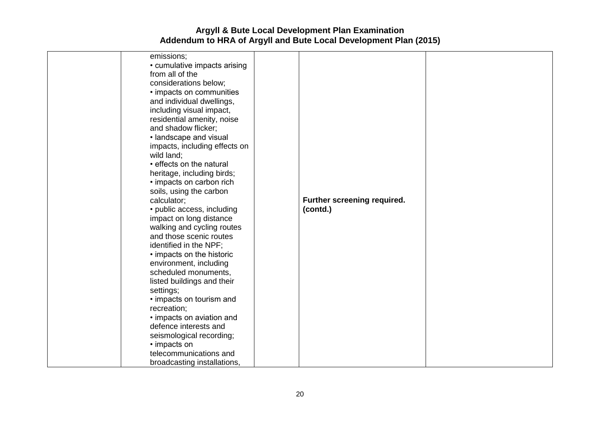| emissions;<br>• cumulative impacts arising<br>from all of the<br>considerations below;<br>• impacts on communities<br>and individual dwellings,<br>including visual impact,<br>residential amenity, noise<br>and shadow flicker;<br>· landscape and visual<br>impacts, including effects on<br>wild land;<br>• effects on the natural<br>heritage, including birds;<br>• impacts on carbon rich<br>soils, using the carbon<br>calculator;<br>• public access, including<br>impact on long distance | Further screening required.<br>(contd.) |  |
|----------------------------------------------------------------------------------------------------------------------------------------------------------------------------------------------------------------------------------------------------------------------------------------------------------------------------------------------------------------------------------------------------------------------------------------------------------------------------------------------------|-----------------------------------------|--|
| walking and cycling routes<br>and those scenic routes<br>identified in the NPF;<br>• impacts on the historic<br>environment, including<br>scheduled monuments,<br>listed buildings and their<br>settings;<br>• impacts on tourism and<br>recreation;<br>• impacts on aviation and<br>defence interests and<br>seismological recording;                                                                                                                                                             |                                         |  |
| • impacts on<br>telecommunications and<br>broadcasting installations,                                                                                                                                                                                                                                                                                                                                                                                                                              |                                         |  |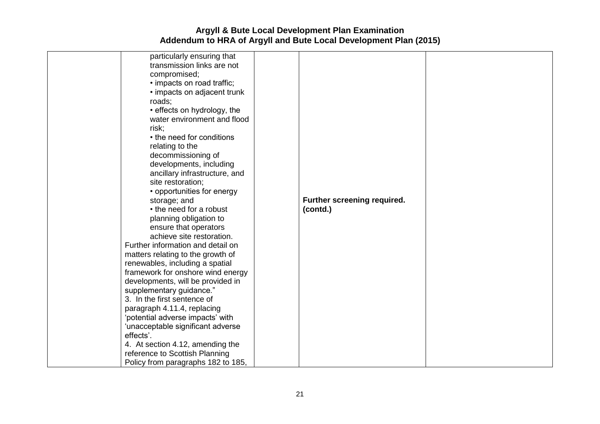| particularly ensuring that<br>transmission links are not<br>compromised;<br>· impacts on road traffic;<br>• impacts on adjacent trunk<br>roads;<br>• effects on hydrology, the<br>water environment and flood<br>risk;<br>• the need for conditions<br>relating to the<br>decommissioning of<br>developments, including<br>ancillary infrastructure, and<br>site restoration;<br>• opportunities for energy<br>storage; and | Further screening required. |  |
|-----------------------------------------------------------------------------------------------------------------------------------------------------------------------------------------------------------------------------------------------------------------------------------------------------------------------------------------------------------------------------------------------------------------------------|-----------------------------|--|
| • the need for a robust<br>planning obligation to                                                                                                                                                                                                                                                                                                                                                                           | (contd.)                    |  |
| ensure that operators<br>achieve site restoration.                                                                                                                                                                                                                                                                                                                                                                          |                             |  |
| Further information and detail on                                                                                                                                                                                                                                                                                                                                                                                           |                             |  |
| matters relating to the growth of                                                                                                                                                                                                                                                                                                                                                                                           |                             |  |
| renewables, including a spatial<br>framework for onshore wind energy                                                                                                                                                                                                                                                                                                                                                        |                             |  |
| developments, will be provided in                                                                                                                                                                                                                                                                                                                                                                                           |                             |  |
| supplementary guidance."                                                                                                                                                                                                                                                                                                                                                                                                    |                             |  |
| 3. In the first sentence of                                                                                                                                                                                                                                                                                                                                                                                                 |                             |  |
| paragraph 4.11.4, replacing                                                                                                                                                                                                                                                                                                                                                                                                 |                             |  |
| 'potential adverse impacts' with                                                                                                                                                                                                                                                                                                                                                                                            |                             |  |
| 'unacceptable significant adverse                                                                                                                                                                                                                                                                                                                                                                                           |                             |  |
| effects'.                                                                                                                                                                                                                                                                                                                                                                                                                   |                             |  |
| 4. At section 4.12, amending the                                                                                                                                                                                                                                                                                                                                                                                            |                             |  |
| reference to Scottish Planning<br>Policy from paragraphs 182 to 185,                                                                                                                                                                                                                                                                                                                                                        |                             |  |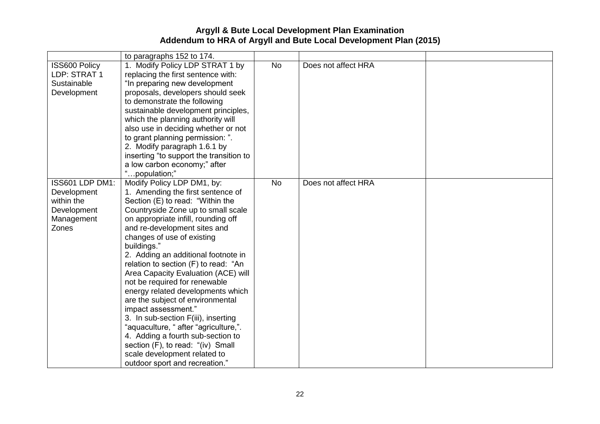|                                                                                    | to paragraphs 152 to 174.                                                                                                                                                                                                                                                                                                                                                                                                                                                                                                                                                                                                                                                                                                                        |           |                     |  |
|------------------------------------------------------------------------------------|--------------------------------------------------------------------------------------------------------------------------------------------------------------------------------------------------------------------------------------------------------------------------------------------------------------------------------------------------------------------------------------------------------------------------------------------------------------------------------------------------------------------------------------------------------------------------------------------------------------------------------------------------------------------------------------------------------------------------------------------------|-----------|---------------------|--|
| <b>ISS600 Policy</b><br>LDP: STRAT 1<br>Sustainable<br>Development                 | 1. Modify Policy LDP STRAT 1 by<br>replacing the first sentence with:<br>"In preparing new development<br>proposals, developers should seek<br>to demonstrate the following<br>sustainable development principles,<br>which the planning authority will<br>also use in deciding whether or not<br>to grant planning permission: ".<br>2. Modify paragraph 1.6.1 by<br>inserting "to support the transition to<br>a low carbon economy;" after<br>"population;"                                                                                                                                                                                                                                                                                   | <b>No</b> | Does not affect HRA |  |
| ISS601 LDP DM1:<br>Development<br>within the<br>Development<br>Management<br>Zones | Modify Policy LDP DM1, by:<br>1. Amending the first sentence of<br>Section (E) to read: "Within the<br>Countryside Zone up to small scale<br>on appropriate infill, rounding off<br>and re-development sites and<br>changes of use of existing<br>buildings."<br>2. Adding an additional footnote in<br>relation to section (F) to read: "An<br>Area Capacity Evaluation (ACE) will<br>not be required for renewable<br>energy related developments which<br>are the subject of environmental<br>impact assessment."<br>3. In sub-section F(iii), inserting<br>"aquaculture, " after "agriculture,".<br>4. Adding a fourth sub-section to<br>section (F), to read: "(iv) Small<br>scale development related to<br>outdoor sport and recreation." | <b>No</b> | Does not affect HRA |  |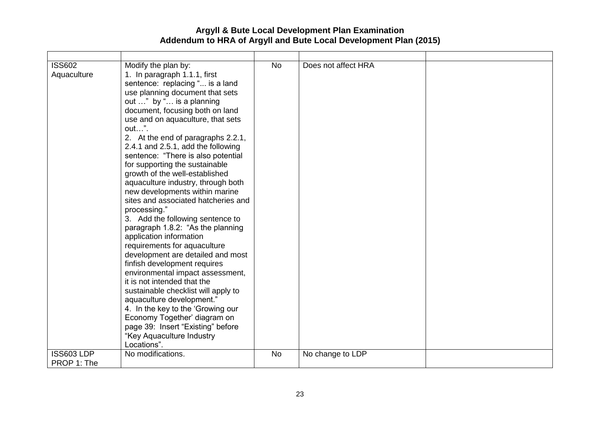| <b>ISS602</b><br>Aquaculture<br><b>ISS603 LDP</b> | Modify the plan by:<br>1. In paragraph 1.1.1, first<br>sentence: replacing " is a land<br>use planning document that sets<br>out " by " is a planning<br>document, focusing both on land<br>use and on aquaculture, that sets<br>out".<br>2. At the end of paragraphs 2.2.1,<br>2.4.1 and 2.5.1, add the following<br>sentence: "There is also potential<br>for supporting the sustainable<br>growth of the well-established<br>aquaculture industry, through both<br>new developments within marine<br>sites and associated hatcheries and<br>processing."<br>3. Add the following sentence to<br>paragraph 1.8.2: "As the planning<br>application information<br>requirements for aquaculture<br>development are detailed and most<br>finfish development requires<br>environmental impact assessment,<br>it is not intended that the<br>sustainable checklist will apply to<br>aquaculture development."<br>4. In the key to the 'Growing our<br>Economy Together' diagram on<br>page 39: Insert "Existing" before<br>"Key Aquaculture Industry<br>Locations".<br>No modifications. | <b>No</b><br><b>No</b> | Does not affect HRA<br>No change to LDP |  |
|---------------------------------------------------|----------------------------------------------------------------------------------------------------------------------------------------------------------------------------------------------------------------------------------------------------------------------------------------------------------------------------------------------------------------------------------------------------------------------------------------------------------------------------------------------------------------------------------------------------------------------------------------------------------------------------------------------------------------------------------------------------------------------------------------------------------------------------------------------------------------------------------------------------------------------------------------------------------------------------------------------------------------------------------------------------------------------------------------------------------------------------------------|------------------------|-----------------------------------------|--|
| PROP 1: The                                       |                                                                                                                                                                                                                                                                                                                                                                                                                                                                                                                                                                                                                                                                                                                                                                                                                                                                                                                                                                                                                                                                                        |                        |                                         |  |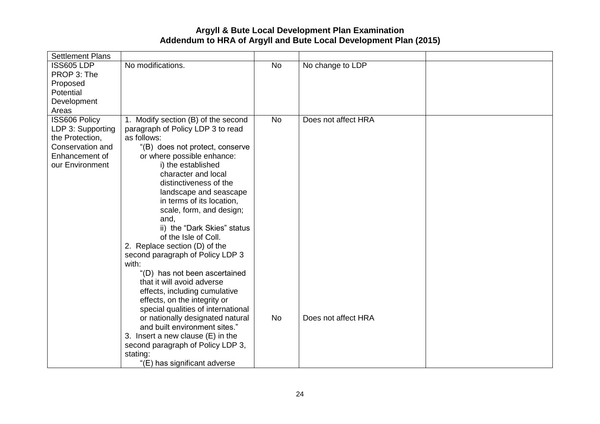| <b>Settlement Plans</b> |                                                     |           |                     |  |
|-------------------------|-----------------------------------------------------|-----------|---------------------|--|
| ISS605 LDP              | No modifications.                                   | <b>No</b> | No change to LDP    |  |
| PROP 3: The             |                                                     |           |                     |  |
| Proposed                |                                                     |           |                     |  |
| Potential               |                                                     |           |                     |  |
| Development             |                                                     |           |                     |  |
| Areas                   |                                                     |           |                     |  |
| ISS606 Policy           | 1. Modify section (B) of the second                 | <b>No</b> | Does not affect HRA |  |
| LDP 3: Supporting       | paragraph of Policy LDP 3 to read                   |           |                     |  |
| the Protection,         | as follows:                                         |           |                     |  |
| Conservation and        | "(B) does not protect, conserve                     |           |                     |  |
| Enhancement of          | or where possible enhance:                          |           |                     |  |
| our Environment         | i) the established                                  |           |                     |  |
|                         | character and local                                 |           |                     |  |
|                         | distinctiveness of the                              |           |                     |  |
|                         | landscape and seascape<br>in terms of its location, |           |                     |  |
|                         | scale, form, and design;                            |           |                     |  |
|                         | and,                                                |           |                     |  |
|                         | ii) the "Dark Skies" status                         |           |                     |  |
|                         | of the Isle of Coll.                                |           |                     |  |
|                         | 2. Replace section (D) of the                       |           |                     |  |
|                         | second paragraph of Policy LDP 3                    |           |                     |  |
|                         | with:                                               |           |                     |  |
|                         | "(D) has not been ascertained                       |           |                     |  |
|                         | that it will avoid adverse                          |           |                     |  |
|                         | effects, including cumulative                       |           |                     |  |
|                         | effects, on the integrity or                        |           |                     |  |
|                         | special qualities of international                  |           |                     |  |
|                         | or nationally designated natural                    | <b>No</b> | Does not affect HRA |  |
|                         | and built environment sites."                       |           |                     |  |
|                         | 3. Insert a new clause (E) in the                   |           |                     |  |
|                         | second paragraph of Policy LDP 3,                   |           |                     |  |
|                         | stating:                                            |           |                     |  |
|                         | "(E) has significant adverse                        |           |                     |  |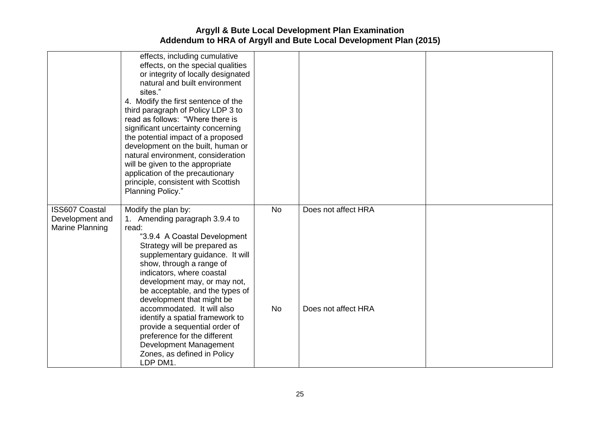|                       | effects, including cumulative                                 |           |                     |  |
|-----------------------|---------------------------------------------------------------|-----------|---------------------|--|
|                       | effects, on the special qualities                             |           |                     |  |
|                       | or integrity of locally designated                            |           |                     |  |
|                       | natural and built environment                                 |           |                     |  |
|                       | sites."                                                       |           |                     |  |
|                       | 4. Modify the first sentence of the                           |           |                     |  |
|                       | third paragraph of Policy LDP 3 to                            |           |                     |  |
|                       | read as follows: "Where there is                              |           |                     |  |
|                       | significant uncertainty concerning                            |           |                     |  |
|                       | the potential impact of a proposed                            |           |                     |  |
|                       | development on the built, human or                            |           |                     |  |
|                       | natural environment, consideration                            |           |                     |  |
|                       | will be given to the appropriate                              |           |                     |  |
|                       | application of the precautionary                              |           |                     |  |
|                       | principle, consistent with Scottish                           |           |                     |  |
|                       | Planning Policy."                                             |           |                     |  |
|                       |                                                               |           |                     |  |
| <b>ISS607 Coastal</b> | Modify the plan by:                                           | <b>No</b> | Does not affect HRA |  |
| Development and       | 1. Amending paragraph 3.9.4 to                                |           |                     |  |
| Marine Planning       | read:                                                         |           |                     |  |
|                       | "3.9.4 A Coastal Development                                  |           |                     |  |
|                       | Strategy will be prepared as                                  |           |                     |  |
|                       | supplementary guidance. It will                               |           |                     |  |
|                       | show, through a range of                                      |           |                     |  |
|                       | indicators, where coastal                                     |           |                     |  |
|                       | development may, or may not,                                  |           |                     |  |
|                       | be acceptable, and the types of                               |           |                     |  |
|                       | development that might be<br>accommodated. It will also       | <b>No</b> | Does not affect HRA |  |
|                       |                                                               |           |                     |  |
|                       | identify a spatial framework to                               |           |                     |  |
|                       | provide a sequential order of<br>preference for the different |           |                     |  |
|                       | Development Management                                        |           |                     |  |
|                       |                                                               |           |                     |  |
|                       | Zones, as defined in Policy                                   |           |                     |  |
|                       | LDP DM1.                                                      |           |                     |  |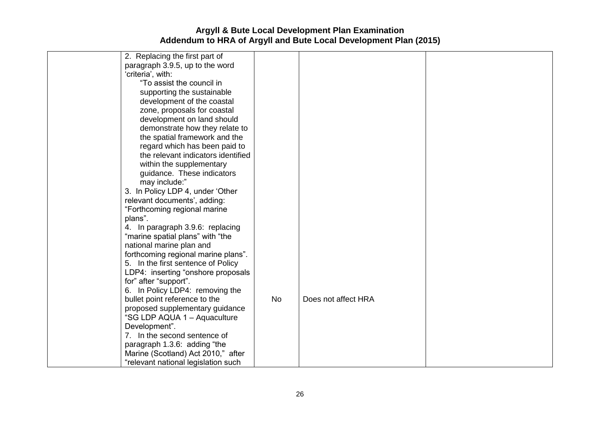| 2. Replacing the first part of      |           |                     |  |
|-------------------------------------|-----------|---------------------|--|
| paragraph 3.9.5, up to the word     |           |                     |  |
| 'criteria', with:                   |           |                     |  |
| "To assist the council in           |           |                     |  |
| supporting the sustainable          |           |                     |  |
| development of the coastal          |           |                     |  |
| zone, proposals for coastal         |           |                     |  |
| development on land should          |           |                     |  |
| demonstrate how they relate to      |           |                     |  |
| the spatial framework and the       |           |                     |  |
| regard which has been paid to       |           |                     |  |
| the relevant indicators identified  |           |                     |  |
| within the supplementary            |           |                     |  |
| guidance. These indicators          |           |                     |  |
| may include:"                       |           |                     |  |
| 3. In Policy LDP 4, under 'Other    |           |                     |  |
| relevant documents', adding:        |           |                     |  |
| "Forthcoming regional marine        |           |                     |  |
| plans".                             |           |                     |  |
| 4. In paragraph 3.9.6: replacing    |           |                     |  |
| "marine spatial plans" with "the    |           |                     |  |
| national marine plan and            |           |                     |  |
| forthcoming regional marine plans". |           |                     |  |
| 5. In the first sentence of Policy  |           |                     |  |
| LDP4: inserting "onshore proposals  |           |                     |  |
| for" after "support".               |           |                     |  |
| 6. In Policy LDP4: removing the     |           |                     |  |
| bullet point reference to the       | <b>No</b> | Does not affect HRA |  |
| proposed supplementary guidance     |           |                     |  |
| "SG LDP AQUA 1 - Aquaculture        |           |                     |  |
| Development".                       |           |                     |  |
| 7. In the second sentence of        |           |                     |  |
| paragraph 1.3.6: adding "the        |           |                     |  |
| Marine (Scotland) Act 2010," after  |           |                     |  |
| "relevant national legislation such |           |                     |  |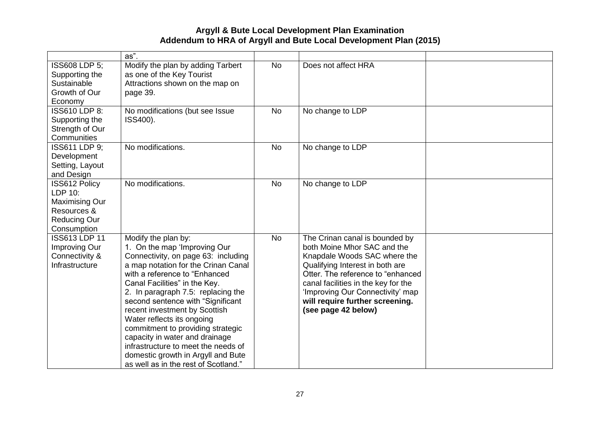|                       | $\overline{as}$ ".                   |           |                                     |  |
|-----------------------|--------------------------------------|-----------|-------------------------------------|--|
| <b>ISS608 LDP 5:</b>  | Modify the plan by adding Tarbert    | <b>No</b> | Does not affect HRA                 |  |
| Supporting the        | as one of the Key Tourist            |           |                                     |  |
| Sustainable           | Attractions shown on the map on      |           |                                     |  |
| Growth of Our         | page 39.                             |           |                                     |  |
| Economy               |                                      |           |                                     |  |
| ISS610 LDP 8:         | No modifications (but see Issue      | <b>No</b> | No change to LDP                    |  |
| Supporting the        | ISS400).                             |           |                                     |  |
| Strength of Our       |                                      |           |                                     |  |
| Communities           |                                      |           |                                     |  |
| ISS611 LDP 9:         | No modifications.                    | <b>No</b> | No change to LDP                    |  |
| Development           |                                      |           |                                     |  |
| Setting, Layout       |                                      |           |                                     |  |
| and Design            |                                      |           |                                     |  |
| <b>ISS612 Policy</b>  | No modifications.                    | <b>No</b> | No change to LDP                    |  |
| LDP 10:               |                                      |           |                                     |  |
| <b>Maximising Our</b> |                                      |           |                                     |  |
| Resources &           |                                      |           |                                     |  |
| <b>Reducing Our</b>   |                                      |           |                                     |  |
| Consumption           |                                      |           |                                     |  |
| <b>ISS613 LDP 11</b>  | Modify the plan by:                  | <b>No</b> | The Crinan canal is bounded by      |  |
| Improving Our         | 1. On the map 'Improving Our         |           | both Moine Mhor SAC and the         |  |
| Connectivity &        | Connectivity, on page 63: including  |           | Knapdale Woods SAC where the        |  |
| Infrastructure        | a map notation for the Crinan Canal  |           | Qualifying Interest in both are     |  |
|                       | with a reference to "Enhanced        |           | Otter. The reference to "enhanced   |  |
|                       | Canal Facilities" in the Key.        |           | canal facilities in the key for the |  |
|                       | 2. In paragraph 7.5: replacing the   |           | 'Improving Our Connectivity' map    |  |
|                       | second sentence with "Significant    |           | will require further screening.     |  |
|                       | recent investment by Scottish        |           | (see page 42 below)                 |  |
|                       | Water reflects its ongoing           |           |                                     |  |
|                       | commitment to providing strategic    |           |                                     |  |
|                       | capacity in water and drainage       |           |                                     |  |
|                       | infrastructure to meet the needs of  |           |                                     |  |
|                       | domestic growth in Argyll and Bute   |           |                                     |  |
|                       | as well as in the rest of Scotland." |           |                                     |  |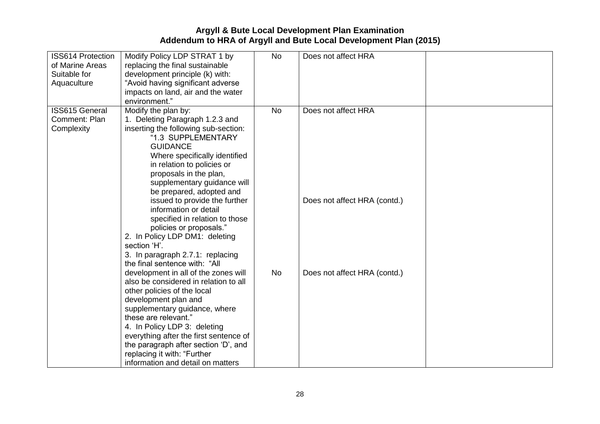| <b>ISS614 Protection</b><br>of Marine Areas<br>Suitable for<br>Aquaculture | Modify Policy LDP STRAT 1 by<br>replacing the final sustainable<br>development principle (k) with:<br>"Avoid having significant adverse<br>impacts on land, air and the water<br>environment."                                                                                                                                                                                                                                                                                                                                            | <b>No</b> | Does not affect HRA                                 |  |
|----------------------------------------------------------------------------|-------------------------------------------------------------------------------------------------------------------------------------------------------------------------------------------------------------------------------------------------------------------------------------------------------------------------------------------------------------------------------------------------------------------------------------------------------------------------------------------------------------------------------------------|-----------|-----------------------------------------------------|--|
| <b>ISS615 General</b><br>Comment: Plan<br>Complexity                       | Modify the plan by:<br>1. Deleting Paragraph 1.2.3 and<br>inserting the following sub-section:<br>"1.3 SUPPLEMENTARY<br><b>GUIDANCE</b><br>Where specifically identified<br>in relation to policies or<br>proposals in the plan,<br>supplementary guidance will<br>be prepared, adopted and<br>issued to provide the further<br>information or detail<br>specified in relation to those<br>policies or proposals."<br>2. In Policy LDP DM1: deleting<br>section 'H'.<br>3. In paragraph 2.7.1: replacing<br>the final sentence with: "All | <b>No</b> | Does not affect HRA<br>Does not affect HRA (contd.) |  |
|                                                                            | development in all of the zones will<br>also be considered in relation to all<br>other policies of the local<br>development plan and<br>supplementary guidance, where<br>these are relevant."<br>4. In Policy LDP 3: deleting<br>everything after the first sentence of<br>the paragraph after section 'D', and<br>replacing it with: "Further<br>information and detail on matters                                                                                                                                                       | <b>No</b> | Does not affect HRA (contd.)                        |  |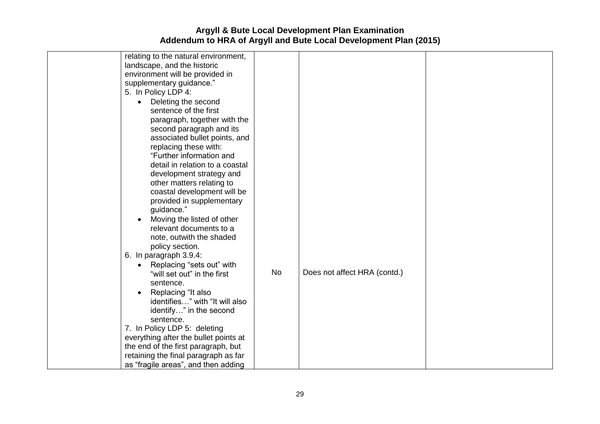| relating to the natural environment,<br>landscape, and the historic<br>environment will be provided in<br>supplementary guidance."<br>5. In Policy LDP 4:<br>Deleting the second<br>$\bullet$<br>sentence of the first<br>paragraph, together with the<br>second paragraph and its<br>associated bullet points, and<br>replacing these with:<br>"Further information and<br>detail in relation to a coastal<br>development strategy and<br>other matters relating to<br>coastal development will be<br>provided in supplementary<br>guidance."<br>Moving the listed of other<br>relevant documents to a<br>note, outwith the shaded<br>policy section.<br>6. In paragraph 3.9.4:<br>Replacing "sets out" with<br>$\bullet$<br>"will set out" in the first<br>sentence.<br>Replacing "It also<br>identifies" with "It will also<br>identify" in the second<br>sentence.<br>7. In Policy LDP 5: deleting<br>everything after the bullet points at<br>the end of the first paragraph, but | <b>No</b> | Does not affect HRA (contd.) |  |
|----------------------------------------------------------------------------------------------------------------------------------------------------------------------------------------------------------------------------------------------------------------------------------------------------------------------------------------------------------------------------------------------------------------------------------------------------------------------------------------------------------------------------------------------------------------------------------------------------------------------------------------------------------------------------------------------------------------------------------------------------------------------------------------------------------------------------------------------------------------------------------------------------------------------------------------------------------------------------------------|-----------|------------------------------|--|
|                                                                                                                                                                                                                                                                                                                                                                                                                                                                                                                                                                                                                                                                                                                                                                                                                                                                                                                                                                                        |           |                              |  |
| retaining the final paragraph as far                                                                                                                                                                                                                                                                                                                                                                                                                                                                                                                                                                                                                                                                                                                                                                                                                                                                                                                                                   |           |                              |  |
| as "fragile areas", and then adding                                                                                                                                                                                                                                                                                                                                                                                                                                                                                                                                                                                                                                                                                                                                                                                                                                                                                                                                                    |           |                              |  |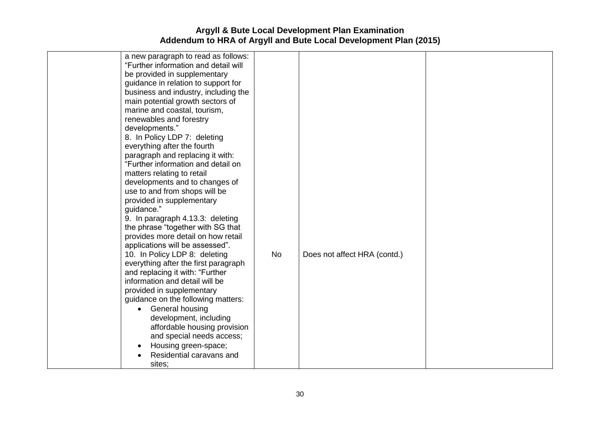| a new paragraph to read as follows:<br>"Further information and detail will<br>be provided in supplementary<br>guidance in relation to support for<br>business and industry, including the<br>main potential growth sectors of<br>marine and coastal, tourism,<br>renewables and forestry<br>developments."<br>8. In Policy LDP 7: deleting<br>everything after the fourth<br>paragraph and replacing it with:<br>"Further information and detail on<br>matters relating to retail<br>developments and to changes of<br>use to and from shops will be<br>provided in supplementary<br>guidance."<br>9. In paragraph 4.13.3: deleting<br>the phrase "together with SG that<br>provides more detail on how retail<br>applications will be assessed".<br>10. In Policy LDP 8: deleting<br>everything after the first paragraph<br>and replacing it with: "Further<br>information and detail will be<br>provided in supplementary<br>guidance on the following matters:<br>General housing<br>$\bullet$<br>development, including<br>affordable housing provision<br>and special needs access;<br>Housing green-space;<br>Residential caravans and<br>sites; | <b>No</b> | Does not affect HRA (contd.) |  |
|----------------------------------------------------------------------------------------------------------------------------------------------------------------------------------------------------------------------------------------------------------------------------------------------------------------------------------------------------------------------------------------------------------------------------------------------------------------------------------------------------------------------------------------------------------------------------------------------------------------------------------------------------------------------------------------------------------------------------------------------------------------------------------------------------------------------------------------------------------------------------------------------------------------------------------------------------------------------------------------------------------------------------------------------------------------------------------------------------------------------------------------------------------|-----------|------------------------------|--|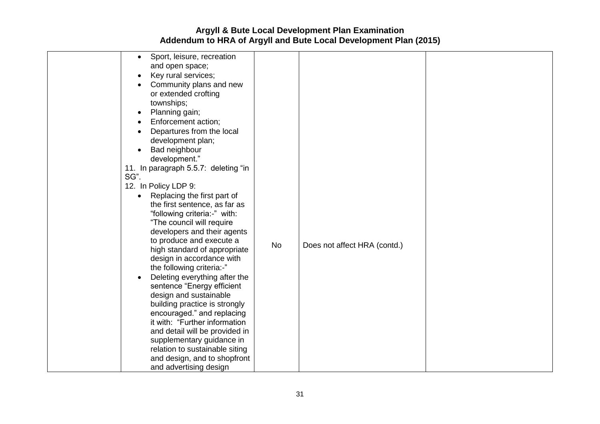| Sport, leisure, recreation<br>$\bullet$<br>and open space;<br>Key rural services;<br>$\bullet$<br>Community plans and new<br>or extended crofting<br>townships;<br>Planning gain;<br>$\bullet$<br>Enforcement action;<br>Departures from the local<br>$\bullet$<br>development plan;<br>Bad neighbour<br>$\bullet$<br>development."<br>11. In paragraph 5.5.7: deleting "in<br>SG".<br>12. In Policy LDP 9:<br>Replacing the first part of<br>the first sentence, as far as<br>"following criteria:-" with:<br>"The council will require<br>developers and their agents<br>to produce and execute a<br><b>No</b><br>Does not affect HRA (contd.)<br>high standard of appropriate<br>design in accordance with<br>the following criteria:-"<br>Deleting everything after the<br>sentence "Energy efficient<br>design and sustainable<br>building practice is strongly<br>encouraged." and replacing<br>it with: "Further information<br>and detail will be provided in<br>supplementary guidance in |                                |  |  |
|----------------------------------------------------------------------------------------------------------------------------------------------------------------------------------------------------------------------------------------------------------------------------------------------------------------------------------------------------------------------------------------------------------------------------------------------------------------------------------------------------------------------------------------------------------------------------------------------------------------------------------------------------------------------------------------------------------------------------------------------------------------------------------------------------------------------------------------------------------------------------------------------------------------------------------------------------------------------------------------------------|--------------------------------|--|--|
| and design, and to shopfront<br>and advertising design                                                                                                                                                                                                                                                                                                                                                                                                                                                                                                                                                                                                                                                                                                                                                                                                                                                                                                                                             | relation to sustainable siting |  |  |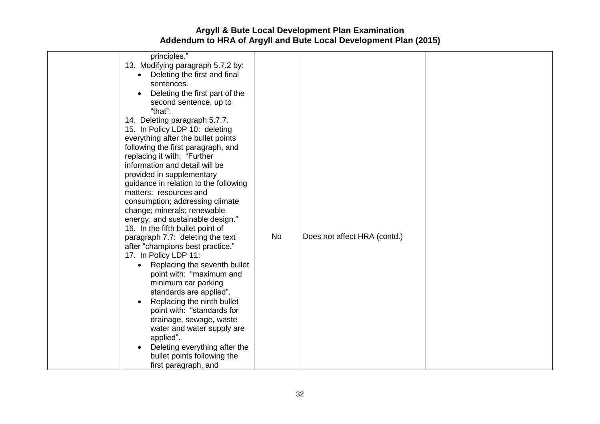| principles."<br>13. Modifying paragraph 5.7.2 by:<br>• Deleting the first and final<br>sentences.<br>Deleting the first part of the<br>second sentence, up to<br>"that".<br>14. Deleting paragraph 5.7.7.<br>15. In Policy LDP 10: deleting<br>everything after the bullet points<br>following the first paragraph, and<br>replacing it with: "Further<br>information and detail will be<br>provided in supplementary<br>guidance in relation to the following<br>matters: resources and<br>consumption; addressing climate<br>change; minerals; renewable<br>energy; and sustainable design."<br>16. In the fifth bullet point of<br>paragraph 7.7: deleting the text<br>after "champions best practice."<br>17. In Policy LDP 11:<br>Replacing the seventh bullet<br>point with: "maximum and<br>minimum car parking<br>standards are applied".<br>Replacing the ninth bullet<br>point with: "standards for<br>drainage, sewage, waste<br>water and water supply are<br>applied".<br>Deleting everything after the<br>bullet points following the<br>first paragraph, and | <b>No</b> | Does not affect HRA (contd.) |  |
|-----------------------------------------------------------------------------------------------------------------------------------------------------------------------------------------------------------------------------------------------------------------------------------------------------------------------------------------------------------------------------------------------------------------------------------------------------------------------------------------------------------------------------------------------------------------------------------------------------------------------------------------------------------------------------------------------------------------------------------------------------------------------------------------------------------------------------------------------------------------------------------------------------------------------------------------------------------------------------------------------------------------------------------------------------------------------------|-----------|------------------------------|--|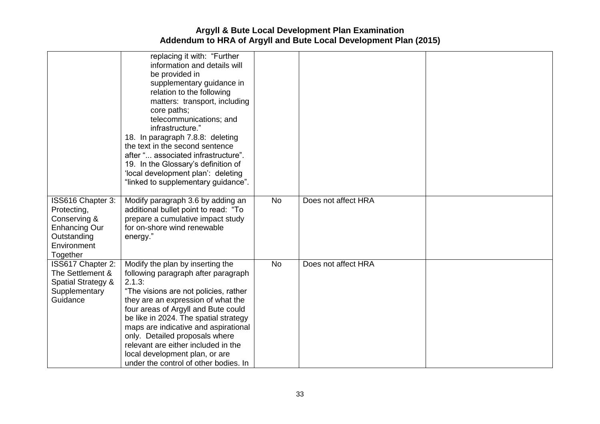|                                                                                                             | replacing it with: "Further<br>information and details will<br>be provided in<br>supplementary guidance in<br>relation to the following<br>matters: transport, including<br>core paths;<br>telecommunications; and<br>infrastructure."<br>18. In paragraph 7.8.8: deleting<br>the text in the second sentence<br>after " associated infrastructure".<br>19. In the Glossary's definition of<br>'local development plan': deleting<br>"linked to supplementary guidance". |           |                     |  |
|-------------------------------------------------------------------------------------------------------------|--------------------------------------------------------------------------------------------------------------------------------------------------------------------------------------------------------------------------------------------------------------------------------------------------------------------------------------------------------------------------------------------------------------------------------------------------------------------------|-----------|---------------------|--|
| ISS616 Chapter 3:<br>Protecting,<br>Conserving &<br>Enhancing Our<br>Outstanding<br>Environment<br>Together | Modify paragraph 3.6 by adding an<br>additional bullet point to read: "To<br>prepare a cumulative impact study<br>for on-shore wind renewable<br>energy."                                                                                                                                                                                                                                                                                                                | <b>No</b> | Does not affect HRA |  |
| ISS617 Chapter 2:<br>The Settlement &<br>Spatial Strategy &<br>Supplementary<br>Guidance                    | Modify the plan by inserting the<br>following paragraph after paragraph<br>2.1.3:<br>"The visions are not policies, rather<br>they are an expression of what the<br>four areas of Argyll and Bute could<br>be like in 2024. The spatial strategy<br>maps are indicative and aspirational<br>only. Detailed proposals where<br>relevant are either included in the<br>local development plan, or are<br>under the control of other bodies. In                             | <b>No</b> | Does not affect HRA |  |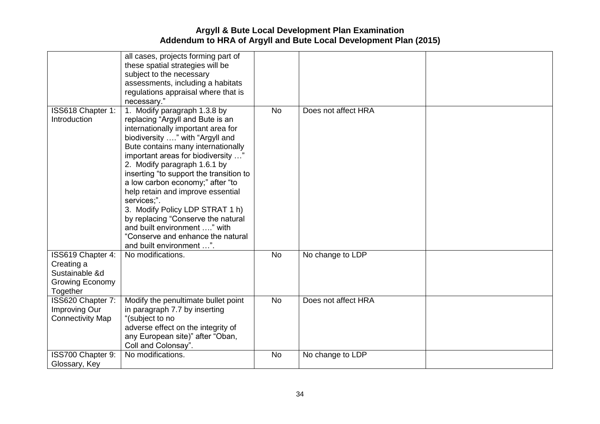|                                                                                         | all cases, projects forming part of<br>these spatial strategies will be<br>subject to the necessary<br>assessments, including a habitats<br>regulations appraisal where that is<br>necessary."                                                                                                                                                                                                                                                                                                                                                                     |           |                     |  |
|-----------------------------------------------------------------------------------------|--------------------------------------------------------------------------------------------------------------------------------------------------------------------------------------------------------------------------------------------------------------------------------------------------------------------------------------------------------------------------------------------------------------------------------------------------------------------------------------------------------------------------------------------------------------------|-----------|---------------------|--|
| ISS618 Chapter 1:<br>Introduction                                                       | 1. Modify paragraph 1.3.8 by<br>replacing "Argyll and Bute is an<br>internationally important area for<br>biodiversity " with "Argyll and<br>Bute contains many internationally<br>important areas for biodiversity "<br>2. Modify paragraph 1.6.1 by<br>inserting "to support the transition to<br>a low carbon economy;" after "to<br>help retain and improve essential<br>services;".<br>3. Modify Policy LDP STRAT 1 h)<br>by replacing "Conserve the natural<br>and built environment " with<br>"Conserve and enhance the natural<br>and built environment ". | <b>No</b> | Does not affect HRA |  |
| ISS619 Chapter 4:<br>Creating a<br>Sustainable &d<br><b>Growing Economy</b><br>Together | No modifications.                                                                                                                                                                                                                                                                                                                                                                                                                                                                                                                                                  | <b>No</b> | No change to LDP    |  |
| ISS620 Chapter 7:<br>Improving Our<br><b>Connectivity Map</b>                           | Modify the penultimate bullet point<br>in paragraph 7.7 by inserting<br>"(subject to no<br>adverse effect on the integrity of<br>any European site)" after "Oban,<br>Coll and Colonsay".                                                                                                                                                                                                                                                                                                                                                                           | <b>No</b> | Does not affect HRA |  |
| ISS700 Chapter 9:<br>Glossary, Key                                                      | No modifications.                                                                                                                                                                                                                                                                                                                                                                                                                                                                                                                                                  | <b>No</b> | No change to LDP    |  |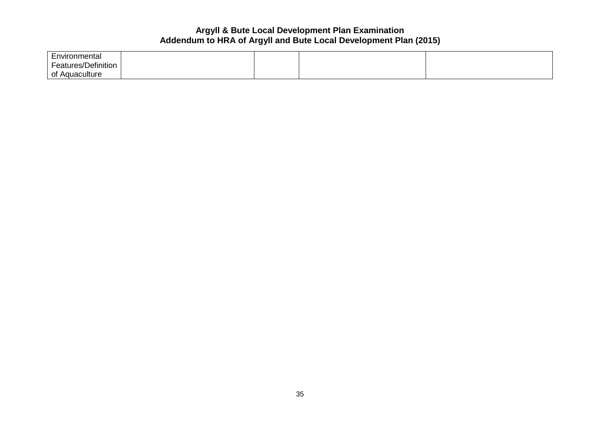| Environmental                     |  |  |
|-----------------------------------|--|--|
| :/Definition<br>$\sim$<br>atures/ |  |  |
| ∩t<br>auaculture.                 |  |  |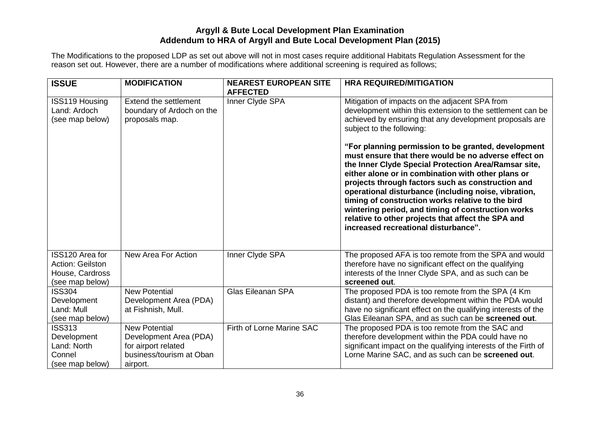The Modifications to the proposed LDP as set out above will not in most cases require additional Habitats Regulation Assessment for the reason set out. However, there are a number of modifications where additional screening is required as follows;

| <b>ISSUE</b>                                                                     | <b>MODIFICATION</b>                                                                                           | <b>NEAREST EUROPEAN SITE</b><br><b>AFFECTED</b> | <b>HRA REQUIRED/MITIGATION</b>                                                                                                                                                                                                                                                                                                                                                                                                                                                                                                                                                                                                                                                                                                                          |
|----------------------------------------------------------------------------------|---------------------------------------------------------------------------------------------------------------|-------------------------------------------------|---------------------------------------------------------------------------------------------------------------------------------------------------------------------------------------------------------------------------------------------------------------------------------------------------------------------------------------------------------------------------------------------------------------------------------------------------------------------------------------------------------------------------------------------------------------------------------------------------------------------------------------------------------------------------------------------------------------------------------------------------------|
| <b>ISS119 Housing</b><br>Land: Ardoch<br>(see map below)                         | Extend the settlement<br>boundary of Ardoch on the<br>proposals map.                                          | Inner Clyde SPA                                 | Mitigation of impacts on the adjacent SPA from<br>development within this extension to the settlement can be<br>achieved by ensuring that any development proposals are<br>subject to the following:<br>"For planning permission to be granted, development<br>must ensure that there would be no adverse effect on<br>the Inner Clyde Special Protection Area/Ramsar site,<br>either alone or in combination with other plans or<br>projects through factors such as construction and<br>operational disturbance (including noise, vibration,<br>timing of construction works relative to the bird<br>wintering period, and timing of construction works<br>relative to other projects that affect the SPA and<br>increased recreational disturbance". |
| ISS120 Area for<br><b>Action: Geilston</b><br>House, Cardross<br>(see map below) | New Area For Action                                                                                           | Inner Clyde SPA                                 | The proposed AFA is too remote from the SPA and would<br>therefore have no significant effect on the qualifying<br>interests of the Inner Clyde SPA, and as such can be<br>screened out.                                                                                                                                                                                                                                                                                                                                                                                                                                                                                                                                                                |
| <b>ISS304</b><br>Development<br>Land: Mull<br>(see map below)                    | <b>New Potential</b><br>Development Area (PDA)<br>at Fishnish, Mull.                                          | <b>Glas Eileanan SPA</b>                        | The proposed PDA is too remote from the SPA (4 Km<br>distant) and therefore development within the PDA would<br>have no significant effect on the qualifying interests of the<br>Glas Eileanan SPA, and as such can be screened out.                                                                                                                                                                                                                                                                                                                                                                                                                                                                                                                    |
| <b>ISS313</b><br>Development<br>Land: North<br>Connel<br>(see map below)         | <b>New Potential</b><br>Development Area (PDA)<br>for airport related<br>business/tourism at Oban<br>airport. | Firth of Lorne Marine SAC                       | The proposed PDA is too remote from the SAC and<br>therefore development within the PDA could have no<br>significant impact on the qualifying interests of the Firth of<br>Lorne Marine SAC, and as such can be screened out.                                                                                                                                                                                                                                                                                                                                                                                                                                                                                                                           |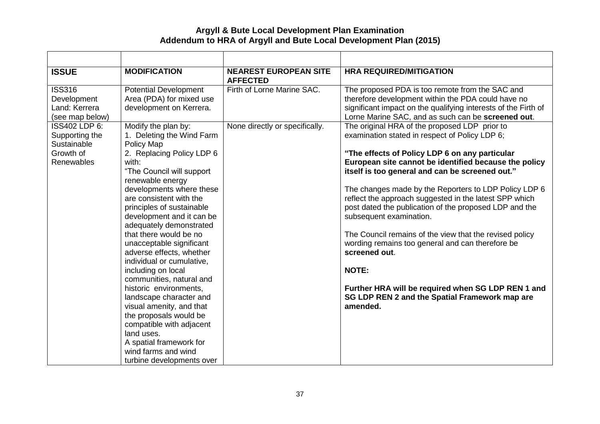| <b>ISSUE</b>                                                                     | <b>MODIFICATION</b>                                                                                                                                   | <b>NEAREST EUROPEAN SITE</b><br><b>AFFECTED</b> | <b>HRA REQUIRED/MITIGATION</b>                                                                                                                                                                                                                                |
|----------------------------------------------------------------------------------|-------------------------------------------------------------------------------------------------------------------------------------------------------|-------------------------------------------------|---------------------------------------------------------------------------------------------------------------------------------------------------------------------------------------------------------------------------------------------------------------|
| <b>ISS316</b><br>Development<br>Land: Kerrera<br>(see map below)                 | <b>Potential Development</b><br>Area (PDA) for mixed use<br>development on Kerrera.                                                                   | Firth of Lorne Marine SAC.                      | The proposed PDA is too remote from the SAC and<br>therefore development within the PDA could have no<br>significant impact on the qualifying interests of the Firth of<br>Lorne Marine SAC, and as such can be screened out.                                 |
| ISS402 LDP 6:<br>Supporting the<br>Sustainable<br>Growth of<br><b>Renewables</b> | Modify the plan by:<br>1. Deleting the Wind Farm<br>Policy Map<br>2. Replacing Policy LDP 6<br>with:<br>"The Council will support<br>renewable energy | None directly or specifically.                  | The original HRA of the proposed LDP prior to<br>examination stated in respect of Policy LDP 6;<br>"The effects of Policy LDP 6 on any particular<br>European site cannot be identified because the policy<br>itself is too general and can be screened out." |
|                                                                                  | developments where these<br>are consistent with the<br>principles of sustainable<br>development and it can be<br>adequately demonstrated              |                                                 | The changes made by the Reporters to LDP Policy LDP 6<br>reflect the approach suggested in the latest SPP which<br>post dated the publication of the proposed LDP and the<br>subsequent examination.                                                          |
|                                                                                  | that there would be no<br>unacceptable significant<br>adverse effects, whether<br>individual or cumulative,                                           |                                                 | The Council remains of the view that the revised policy<br>wording remains too general and can therefore be<br>screened out.                                                                                                                                  |
|                                                                                  | including on local<br>communities, natural and                                                                                                        |                                                 | <b>NOTE:</b>                                                                                                                                                                                                                                                  |
|                                                                                  | historic environments,<br>landscape character and<br>visual amenity, and that<br>the proposals would be<br>compatible with adjacent<br>land uses.     |                                                 | Further HRA will be required when SG LDP REN 1 and<br>SG LDP REN 2 and the Spatial Framework map are<br>amended.                                                                                                                                              |
|                                                                                  | A spatial framework for<br>wind farms and wind<br>turbine developments over                                                                           |                                                 |                                                                                                                                                                                                                                                               |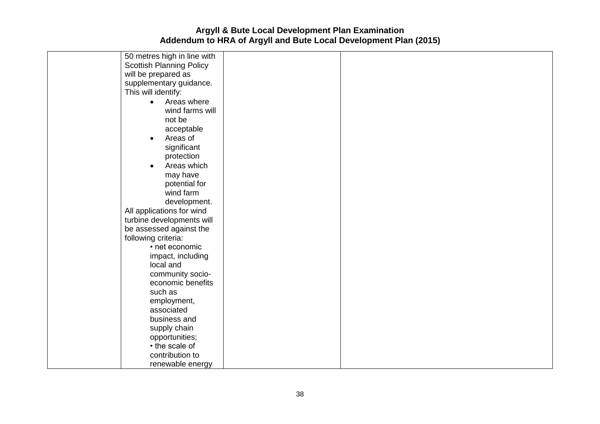| 50 metres high in line with     |  |  |
|---------------------------------|--|--|
| <b>Scottish Planning Policy</b> |  |  |
| will be prepared as             |  |  |
| supplementary guidance.         |  |  |
| This will identify:             |  |  |
| Areas where<br>$\bullet$        |  |  |
| wind farms will                 |  |  |
| not be                          |  |  |
| acceptable                      |  |  |
| Areas of<br>$\bullet$           |  |  |
| significant                     |  |  |
| protection                      |  |  |
| Areas which<br>$\bullet$        |  |  |
| may have                        |  |  |
| potential for                   |  |  |
| wind farm                       |  |  |
| development.                    |  |  |
| All applications for wind       |  |  |
| turbine developments will       |  |  |
| be assessed against the         |  |  |
| following criteria:             |  |  |
| • net economic                  |  |  |
| impact, including               |  |  |
| local and                       |  |  |
| community socio-                |  |  |
| economic benefits               |  |  |
| such as                         |  |  |
| employment,                     |  |  |
| associated                      |  |  |
| business and                    |  |  |
| supply chain                    |  |  |
| opportunities;                  |  |  |
| • the scale of                  |  |  |
| contribution to                 |  |  |
| renewable energy                |  |  |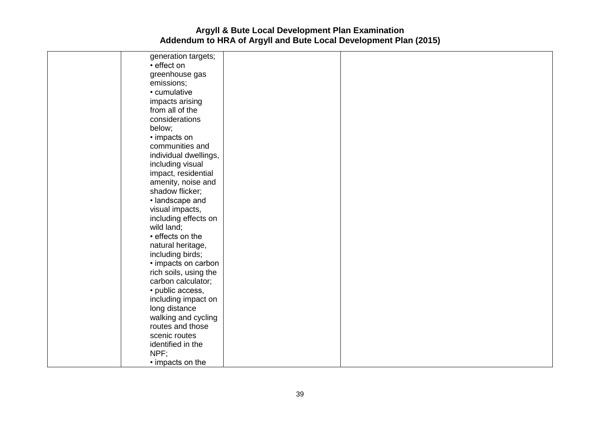| generation targets;   |  |  |
|-----------------------|--|--|
| • effect on           |  |  |
| greenhouse gas        |  |  |
| emissions;            |  |  |
| • cumulative          |  |  |
| impacts arising       |  |  |
| from all of the       |  |  |
| considerations        |  |  |
| below;                |  |  |
| • impacts on          |  |  |
| communities and       |  |  |
| individual dwellings, |  |  |
| including visual      |  |  |
| impact, residential   |  |  |
| amenity, noise and    |  |  |
| shadow flicker;       |  |  |
| · landscape and       |  |  |
| visual impacts,       |  |  |
| including effects on  |  |  |
| wild land;            |  |  |
| • effects on the      |  |  |
| natural heritage,     |  |  |
| including birds;      |  |  |
| · impacts on carbon   |  |  |
| rich soils, using the |  |  |
| carbon calculator;    |  |  |
| · public access,      |  |  |
| including impact on   |  |  |
| long distance         |  |  |
| walking and cycling   |  |  |
| routes and those      |  |  |
| scenic routes         |  |  |
| identified in the     |  |  |
| NPF;                  |  |  |
| • impacts on the      |  |  |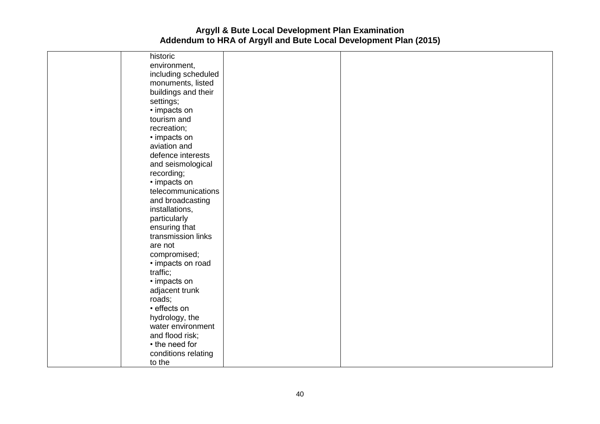| historic            |  |
|---------------------|--|
| environment,        |  |
| including scheduled |  |
| monuments, listed   |  |
| buildings and their |  |
| settings;           |  |
| • impacts on        |  |
| tourism and         |  |
| recreation;         |  |
| • impacts on        |  |
| aviation and        |  |
| defence interests   |  |
| and seismological   |  |
| recording;          |  |
| • impacts on        |  |
| telecommunications  |  |
| and broadcasting    |  |
| installations,      |  |
| particularly        |  |
| ensuring that       |  |
| transmission links  |  |
| are not             |  |
| compromised;        |  |
| • impacts on road   |  |
| traffic;            |  |
| • impacts on        |  |
| adjacent trunk      |  |
| roads;              |  |
| · effects on        |  |
| hydrology, the      |  |
| water environment   |  |
| and flood risk;     |  |
| • the need for      |  |
| conditions relating |  |
| to the              |  |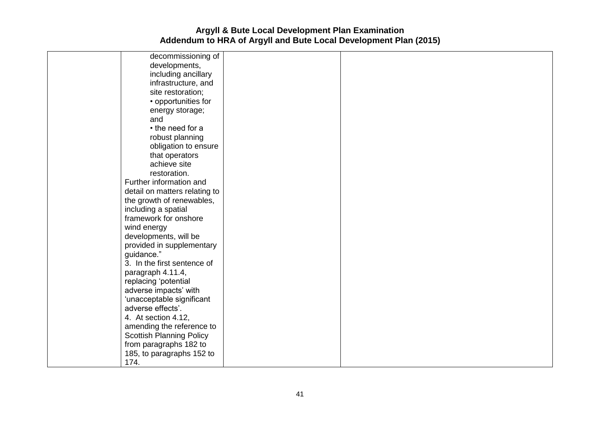| decommissioning of              |  |
|---------------------------------|--|
| developments,                   |  |
| including ancillary             |  |
| infrastructure, and             |  |
| site restoration;               |  |
| • opportunities for             |  |
| energy storage;                 |  |
| and                             |  |
| • the need for a                |  |
| robust planning                 |  |
| obligation to ensure            |  |
| that operators                  |  |
| achieve site                    |  |
| restoration.                    |  |
| Further information and         |  |
| detail on matters relating to   |  |
| the growth of renewables,       |  |
| including a spatial             |  |
| framework for onshore           |  |
| wind energy                     |  |
| developments, will be           |  |
| provided in supplementary       |  |
| guidance."                      |  |
| 3. In the first sentence of     |  |
| paragraph 4.11.4,               |  |
| replacing 'potential            |  |
| adverse impacts' with           |  |
| 'unacceptable significant       |  |
| adverse effects'.               |  |
| 4. At section 4.12,             |  |
| amending the reference to       |  |
| <b>Scottish Planning Policy</b> |  |
| from paragraphs 182 to          |  |
| 185, to paragraphs 152 to       |  |
| 174.                            |  |